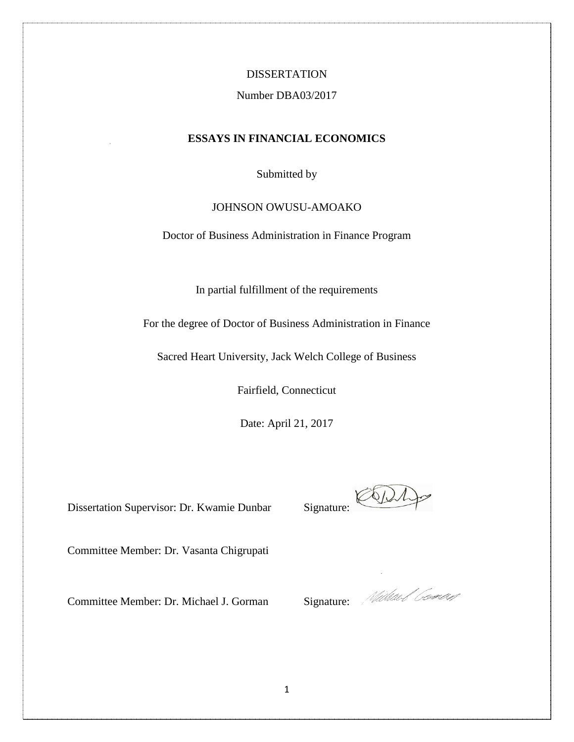### DISSERTATION

### Number DBA03/2017

### **ESSAYS IN FINANCIAL ECONOMICS**

Submitted by

## JOHNSON OWUSU-AMOAKO

Doctor of Business Administration in Finance Program

In partial fulfillment of the requirements

For the degree of Doctor of Business Administration in Finance

Sacred Heart University, Jack Welch College of Business

Fairfield, Connecticut

Date: April 21, 2017

Dissertation Supervisor: Dr. Kwamie Dunbar Signature:

CODI

Committee Member: Dr. Vasanta Chigrupati

Committee Member: Dr. Michael J. Gorman Signature: Michael General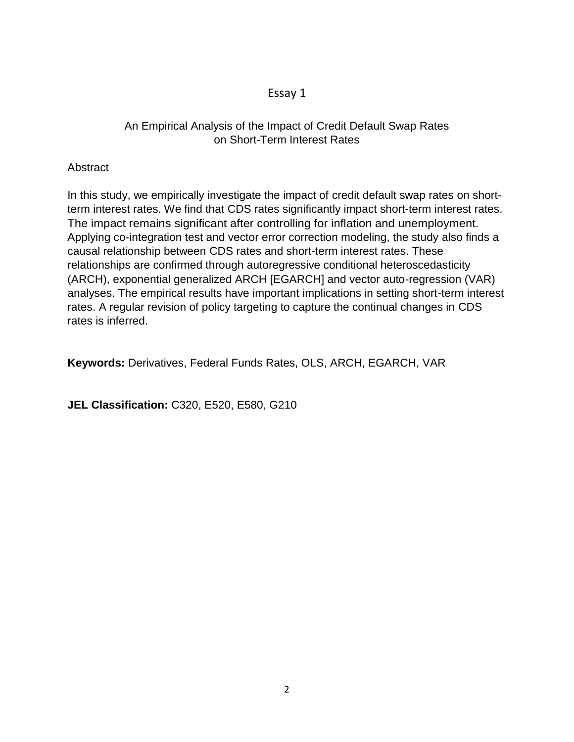# Essay 1

# An Empirical Analysis of the Impact of Credit Default Swap Rates on Short-Term Interest Rates

# **Abstract**

In this study, we empirically investigate the impact of credit default swap rates on shortterm interest rates. We find that CDS rates significantly impact short-term interest rates. The impact remains significant after controlling for inflation and unemployment. Applying co-integration test and vector error correction modeling, the study also finds a causal relationship between CDS rates and short-term interest rates. These relationships are confirmed through autoregressive conditional heteroscedasticity (ARCH), exponential generalized ARCH [EGARCH] and vector auto-regression (VAR) analyses. The empirical results have important implications in setting short-term interest rates. A regular revision of policy targeting to capture the continual changes in CDS rates is inferred.

**Keywords:** Derivatives, Federal Funds Rates, OLS, ARCH, EGARCH, VAR

**JEL Classification:** C320, E520, E580, G210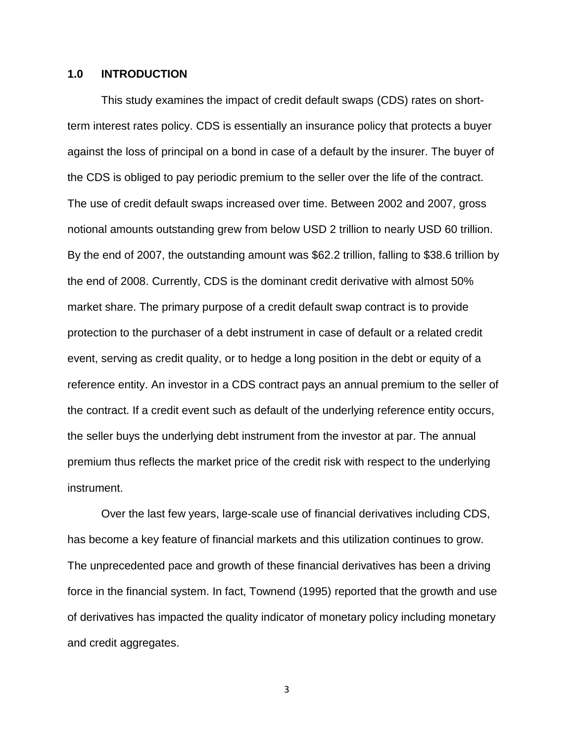## **1.0 INTRODUCTION**

This study examines the impact of credit default swaps (CDS) rates on shortterm interest rates policy. CDS is essentially an insurance policy that protects a buyer against the loss of principal on a bond in case of a default by the insurer. The buyer of the CDS is obliged to pay periodic premium to the seller over the life of the contract. The use of credit default swaps increased over time. Between 2002 and 2007, gross notional amounts outstanding grew from below USD 2 trillion to nearly USD 60 trillion. By the end of 2007, the outstanding amount was \$62.2 trillion, falling to \$38.6 trillion by the end of 2008. Currently, CDS is the dominant credit derivative with almost 50% market share. The primary purpose of a credit default swap contract is to provide protection to the purchaser of a debt instrument in case of default or a related credit event, serving as credit quality, or to hedge a long position in the debt or equity of a reference entity. An investor in a CDS contract pays an annual premium to the seller of the contract. If a credit event such as default of the underlying reference entity occurs, the seller buys the underlying debt instrument from the investor at par. The annual premium thus reflects the market price of the credit risk with respect to the underlying instrument.

Over the last few years, large-scale use of financial derivatives including CDS, has become a key feature of financial markets and this utilization continues to grow. The unprecedented pace and growth of these financial derivatives has been a driving force in the financial system. In fact, Townend (1995) reported that the growth and use of derivatives has impacted the quality indicator of monetary policy including monetary and credit aggregates.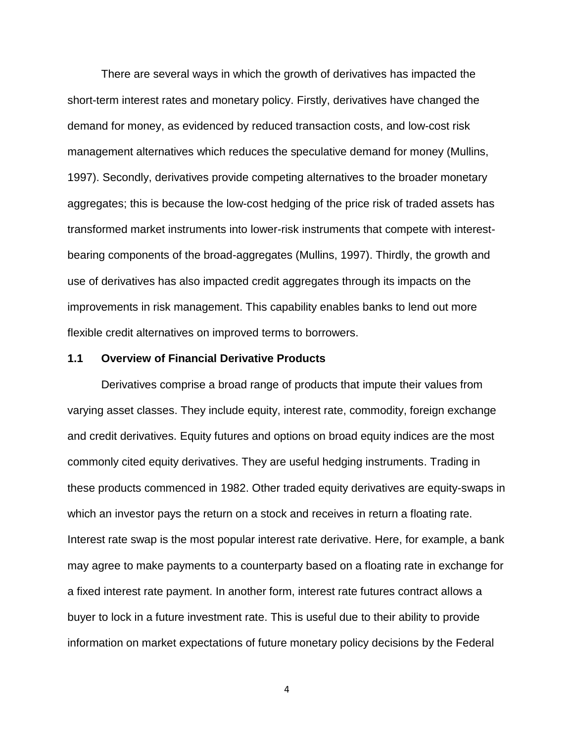There are several ways in which the growth of derivatives has impacted the short-term interest rates and monetary policy. Firstly, derivatives have changed the demand for money, as evidenced by reduced transaction costs, and low-cost risk management alternatives which reduces the speculative demand for money (Mullins, 1997). Secondly, derivatives provide competing alternatives to the broader monetary aggregates; this is because the low-cost hedging of the price risk of traded assets has transformed market instruments into lower-risk instruments that compete with interestbearing components of the broad-aggregates (Mullins, 1997). Thirdly, the growth and use of derivatives has also impacted credit aggregates through its impacts on the improvements in risk management. This capability enables banks to lend out more flexible credit alternatives on improved terms to borrowers.

#### **1.1 Overview of Financial Derivative Products**

Derivatives comprise a broad range of products that impute their values from varying asset classes. They include equity, interest rate, commodity, foreign exchange and credit derivatives. Equity futures and options on broad equity indices are the most commonly cited equity derivatives. They are useful hedging instruments. Trading in these products commenced in 1982. Other traded equity derivatives are equity-swaps in which an investor pays the return on a stock and receives in return a floating rate. Interest rate swap is the most popular interest rate derivative. Here, for example, a bank may agree to make payments to a counterparty based on a floating rate in exchange for a fixed interest rate payment. In another form, interest rate futures contract allows a buyer to lock in a future investment rate. This is useful due to their ability to provide information on market expectations of future monetary policy decisions by the Federal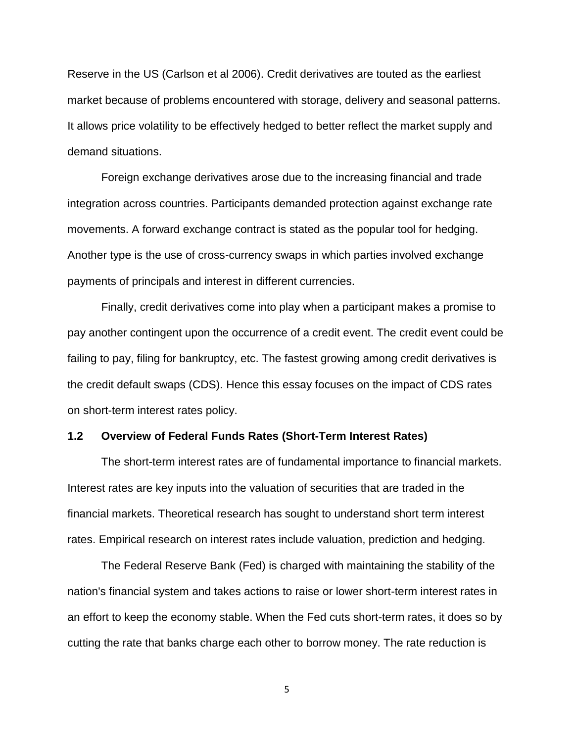Reserve in the US (Carlson et al 2006). Credit derivatives are touted as the earliest market because of problems encountered with storage, delivery and seasonal patterns. It allows price volatility to be effectively hedged to better reflect the market supply and demand situations.

Foreign exchange derivatives arose due to the increasing financial and trade integration across countries. Participants demanded protection against exchange rate movements. A forward exchange contract is stated as the popular tool for hedging. Another type is the use of cross-currency swaps in which parties involved exchange payments of principals and interest in different currencies.

Finally, credit derivatives come into play when a participant makes a promise to pay another contingent upon the occurrence of a credit event. The credit event could be failing to pay, filing for bankruptcy, etc. The fastest growing among credit derivatives is the credit default swaps (CDS). Hence this essay focuses on the impact of CDS rates on short-term interest rates policy.

#### **1.2 Overview of Federal Funds Rates (Short-Term Interest Rates)**

The short-term interest rates are of fundamental importance to financial markets. Interest rates are key inputs into the valuation of securities that are traded in the financial markets. Theoretical research has sought to understand short term interest rates. Empirical research on interest rates include valuation, prediction and hedging.

The Federal Reserve Bank (Fed) is charged with maintaining the stability of the nation's financial system and takes actions to raise or lower short-term interest rates in an effort to keep the economy stable. When the Fed cuts short-term rates, it does so by cutting the rate that banks charge each other to borrow money. The rate reduction is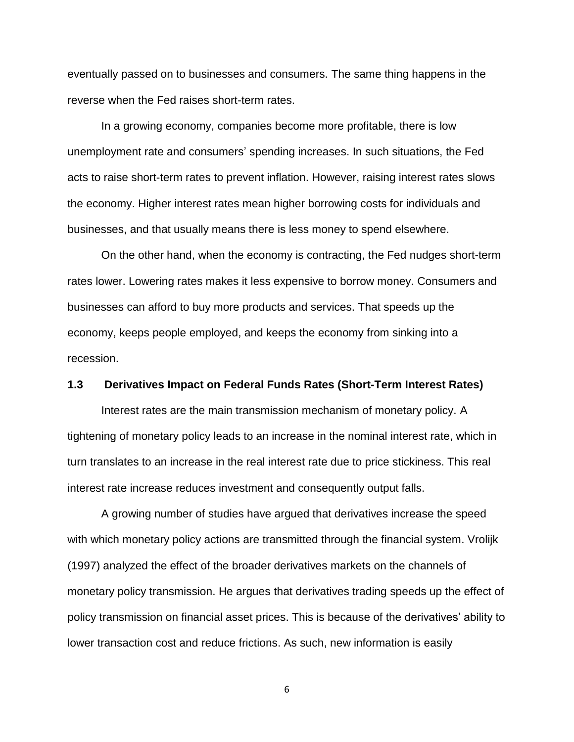eventually passed on to businesses and consumers. The same thing happens in the reverse when the Fed raises short-term rates.

In a growing economy, companies become more profitable, there is low unemployment rate and consumers' spending increases. In such situations, the Fed acts to raise short-term rates to prevent inflation. However, raising interest rates slows the economy. Higher interest rates mean higher borrowing costs for individuals and businesses, and that usually means there is less money to spend elsewhere.

On the other hand, when the economy is contracting, the Fed nudges short-term rates lower. Lowering rates makes it less expensive to borrow money. Consumers and businesses can afford to buy more products and services. That speeds up the economy, keeps people employed, and keeps the economy from sinking into a recession.

#### **1.3 Derivatives Impact on Federal Funds Rates (Short-Term Interest Rates)**

Interest rates are the main transmission mechanism of monetary policy. A tightening of monetary policy leads to an increase in the nominal interest rate, which in turn translates to an increase in the real interest rate due to price stickiness. This real interest rate increase reduces investment and consequently output falls.

A growing number of studies have argued that derivatives increase the speed with which monetary policy actions are transmitted through the financial system. Vrolijk (1997) analyzed the effect of the broader derivatives markets on the channels of monetary policy transmission. He argues that derivatives trading speeds up the effect of policy transmission on financial asset prices. This is because of the derivatives' ability to lower transaction cost and reduce frictions. As such, new information is easily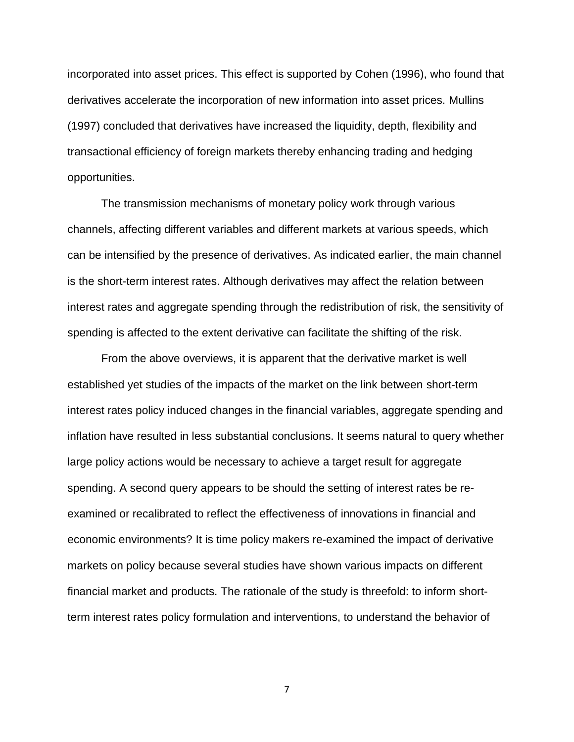incorporated into asset prices. This effect is supported by Cohen (1996), who found that derivatives accelerate the incorporation of new information into asset prices. Mullins (1997) concluded that derivatives have increased the liquidity, depth, flexibility and transactional efficiency of foreign markets thereby enhancing trading and hedging opportunities.

The transmission mechanisms of monetary policy work through various channels, affecting different variables and different markets at various speeds, which can be intensified by the presence of derivatives. As indicated earlier, the main channel is the short-term interest rates. Although derivatives may affect the relation between interest rates and aggregate spending through the redistribution of risk, the sensitivity of spending is affected to the extent derivative can facilitate the shifting of the risk.

From the above overviews, it is apparent that the derivative market is well established yet studies of the impacts of the market on the link between short-term interest rates policy induced changes in the financial variables, aggregate spending and inflation have resulted in less substantial conclusions. It seems natural to query whether large policy actions would be necessary to achieve a target result for aggregate spending. A second query appears to be should the setting of interest rates be reexamined or recalibrated to reflect the effectiveness of innovations in financial and economic environments? It is time policy makers re-examined the impact of derivative markets on policy because several studies have shown various impacts on different financial market and products. The rationale of the study is threefold: to inform shortterm interest rates policy formulation and interventions, to understand the behavior of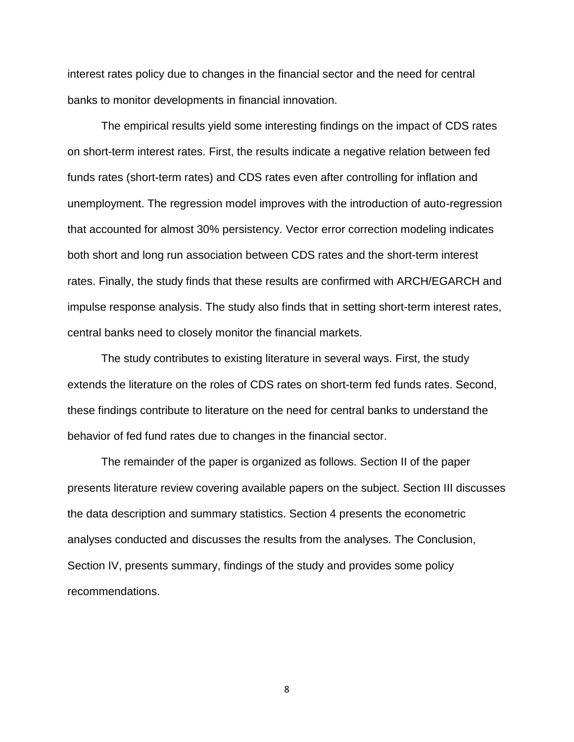interest rates policy due to changes in the financial sector and the need for central banks to monitor developments in financial innovation.

The empirical results yield some interesting findings on the impact of CDS rates on short-term interest rates. First, the results indicate a negative relation between fed funds rates (short-term rates) and CDS rates even after controlling for inflation and unemployment. The regression model improves with the introduction of auto-regression that accounted for almost 30% persistency. Vector error correction modeling indicates both short and long run association between CDS rates and the short-term interest rates. Finally, the study finds that these results are confirmed with ARCH/EGARCH and impulse response analysis. The study also finds that in setting short-term interest rates, central banks need to closely monitor the financial markets.

The study contributes to existing literature in several ways. First, the study extends the literature on the roles of CDS rates on short-term fed funds rates. Second, these findings contribute to literature on the need for central banks to understand the behavior of fed fund rates due to changes in the financial sector.

The remainder of the paper is organized as follows. Section II of the paper presents literature review covering available papers on the subject. Section III discusses the data description and summary statistics. Section 4 presents the econometric analyses conducted and discusses the results from the analyses. The Conclusion, Section IV, presents summary, findings of the study and provides some policy recommendations.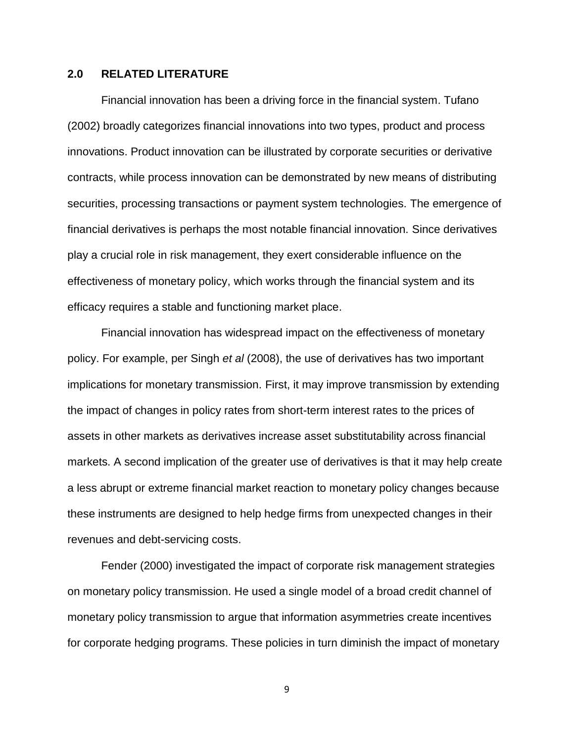### **2.0 RELATED LITERATURE**

Financial innovation has been a driving force in the financial system. Tufano (2002) broadly categorizes financial innovations into two types, product and process innovations. Product innovation can be illustrated by corporate securities or derivative contracts, while process innovation can be demonstrated by new means of distributing securities, processing transactions or payment system technologies. The emergence of financial derivatives is perhaps the most notable financial innovation. Since derivatives play a crucial role in risk management, they exert considerable influence on the effectiveness of monetary policy, which works through the financial system and its efficacy requires a stable and functioning market place.

Financial innovation has widespread impact on the effectiveness of monetary policy. For example, per Singh *et al* (2008), the use of derivatives has two important implications for monetary transmission. First, it may improve transmission by extending the impact of changes in policy rates from short-term interest rates to the prices of assets in other markets as derivatives increase asset substitutability across financial markets. A second implication of the greater use of derivatives is that it may help create a less abrupt or extreme financial market reaction to monetary policy changes because these instruments are designed to help hedge firms from unexpected changes in their revenues and debt-servicing costs.

Fender (2000) investigated the impact of corporate risk management strategies on monetary policy transmission. He used a single model of a broad credit channel of monetary policy transmission to argue that information asymmetries create incentives for corporate hedging programs. These policies in turn diminish the impact of monetary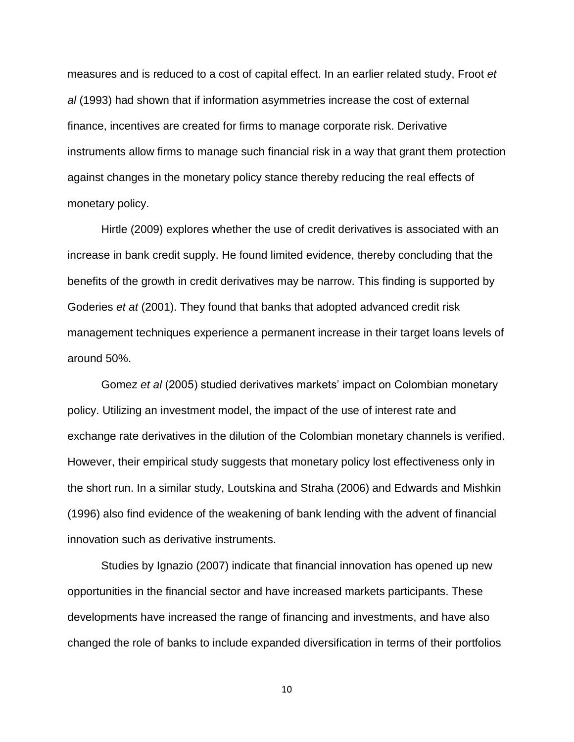measures and is reduced to a cost of capital effect. In an earlier related study, Froot *et al* (1993) had shown that if information asymmetries increase the cost of external finance, incentives are created for firms to manage corporate risk. Derivative instruments allow firms to manage such financial risk in a way that grant them protection against changes in the monetary policy stance thereby reducing the real effects of monetary policy.

Hirtle (2009) explores whether the use of credit derivatives is associated with an increase in bank credit supply. He found limited evidence, thereby concluding that the benefits of the growth in credit derivatives may be narrow. This finding is supported by Goderies *et at* (2001). They found that banks that adopted advanced credit risk management techniques experience a permanent increase in their target loans levels of around 50%.

Gomez *et al* (2005) studied derivatives markets' impact on Colombian monetary policy. Utilizing an investment model, the impact of the use of interest rate and exchange rate derivatives in the dilution of the Colombian monetary channels is verified. However, their empirical study suggests that monetary policy lost effectiveness only in the short run. In a similar study, Loutskina and Straha (2006) and Edwards and Mishkin (1996) also find evidence of the weakening of bank lending with the advent of financial innovation such as derivative instruments.

Studies by Ignazio (2007) indicate that financial innovation has opened up new opportunities in the financial sector and have increased markets participants. These developments have increased the range of financing and investments, and have also changed the role of banks to include expanded diversification in terms of their portfolios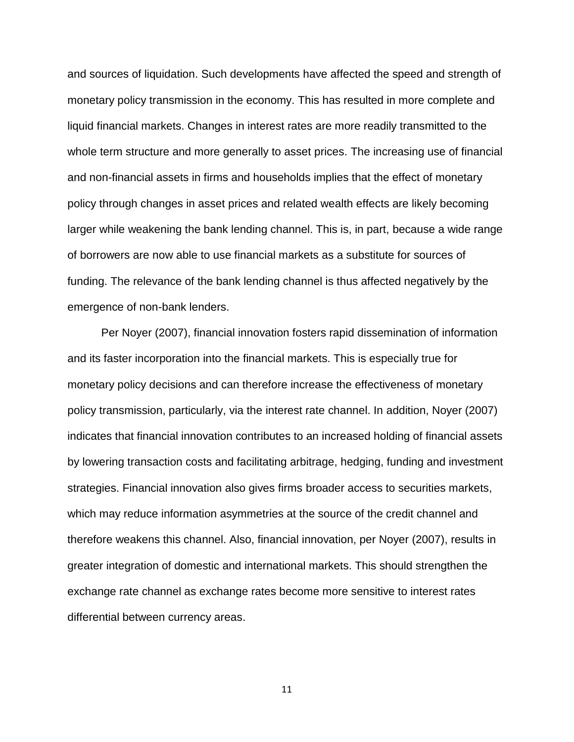and sources of liquidation. Such developments have affected the speed and strength of monetary policy transmission in the economy. This has resulted in more complete and liquid financial markets. Changes in interest rates are more readily transmitted to the whole term structure and more generally to asset prices. The increasing use of financial and non-financial assets in firms and households implies that the effect of monetary policy through changes in asset prices and related wealth effects are likely becoming larger while weakening the bank lending channel. This is, in part, because a wide range of borrowers are now able to use financial markets as a substitute for sources of funding. The relevance of the bank lending channel is thus affected negatively by the emergence of non-bank lenders.

Per Noyer (2007), financial innovation fosters rapid dissemination of information and its faster incorporation into the financial markets. This is especially true for monetary policy decisions and can therefore increase the effectiveness of monetary policy transmission, particularly, via the interest rate channel. In addition, Noyer (2007) indicates that financial innovation contributes to an increased holding of financial assets by lowering transaction costs and facilitating arbitrage, hedging, funding and investment strategies. Financial innovation also gives firms broader access to securities markets, which may reduce information asymmetries at the source of the credit channel and therefore weakens this channel. Also, financial innovation, per Noyer (2007), results in greater integration of domestic and international markets. This should strengthen the exchange rate channel as exchange rates become more sensitive to interest rates differential between currency areas.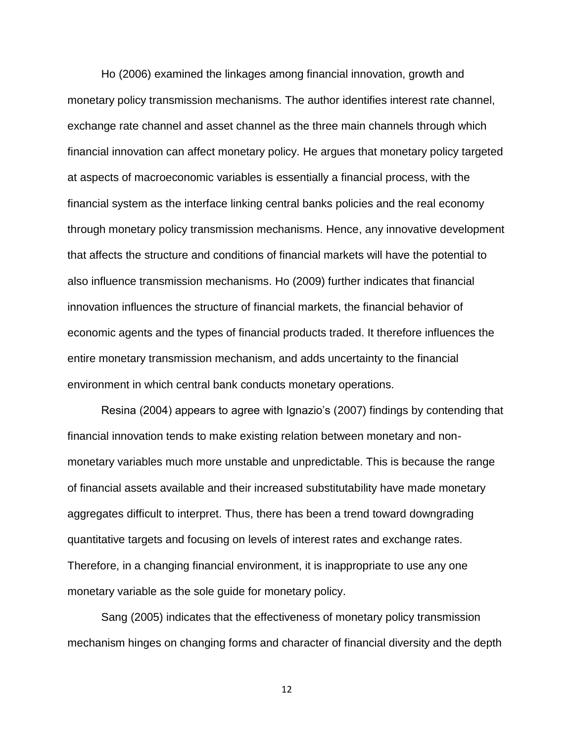Ho (2006) examined the linkages among financial innovation, growth and monetary policy transmission mechanisms. The author identifies interest rate channel, exchange rate channel and asset channel as the three main channels through which financial innovation can affect monetary policy. He argues that monetary policy targeted at aspects of macroeconomic variables is essentially a financial process, with the financial system as the interface linking central banks policies and the real economy through monetary policy transmission mechanisms. Hence, any innovative development that affects the structure and conditions of financial markets will have the potential to also influence transmission mechanisms. Ho (2009) further indicates that financial innovation influences the structure of financial markets, the financial behavior of economic agents and the types of financial products traded. It therefore influences the entire monetary transmission mechanism, and adds uncertainty to the financial environment in which central bank conducts monetary operations.

Resina (2004) appears to agree with Ignazio's (2007) findings by contending that financial innovation tends to make existing relation between monetary and nonmonetary variables much more unstable and unpredictable. This is because the range of financial assets available and their increased substitutability have made monetary aggregates difficult to interpret. Thus, there has been a trend toward downgrading quantitative targets and focusing on levels of interest rates and exchange rates. Therefore, in a changing financial environment, it is inappropriate to use any one monetary variable as the sole guide for monetary policy.

Sang (2005) indicates that the effectiveness of monetary policy transmission mechanism hinges on changing forms and character of financial diversity and the depth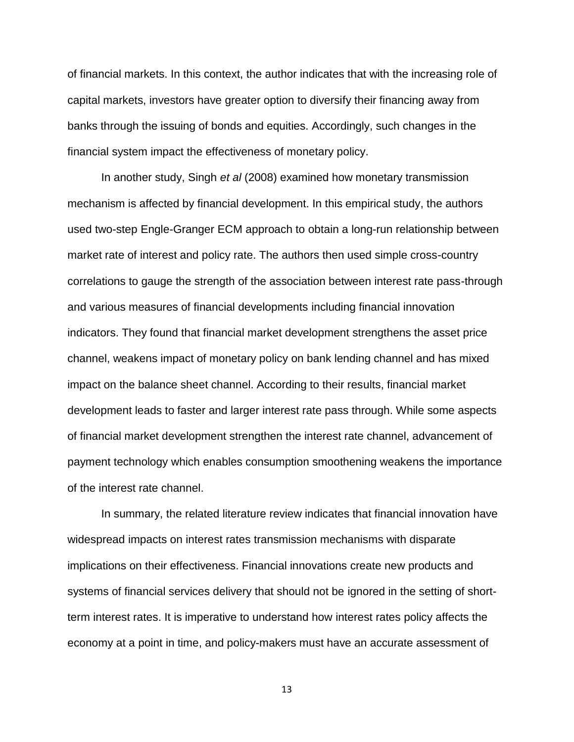of financial markets. In this context, the author indicates that with the increasing role of capital markets, investors have greater option to diversify their financing away from banks through the issuing of bonds and equities. Accordingly, such changes in the financial system impact the effectiveness of monetary policy.

In another study, Singh *et al* (2008) examined how monetary transmission mechanism is affected by financial development. In this empirical study, the authors used two-step Engle-Granger ECM approach to obtain a long-run relationship between market rate of interest and policy rate. The authors then used simple cross-country correlations to gauge the strength of the association between interest rate pass-through and various measures of financial developments including financial innovation indicators. They found that financial market development strengthens the asset price channel, weakens impact of monetary policy on bank lending channel and has mixed impact on the balance sheet channel. According to their results, financial market development leads to faster and larger interest rate pass through. While some aspects of financial market development strengthen the interest rate channel, advancement of payment technology which enables consumption smoothening weakens the importance of the interest rate channel.

In summary, the related literature review indicates that financial innovation have widespread impacts on interest rates transmission mechanisms with disparate implications on their effectiveness. Financial innovations create new products and systems of financial services delivery that should not be ignored in the setting of shortterm interest rates. It is imperative to understand how interest rates policy affects the economy at a point in time, and policy-makers must have an accurate assessment of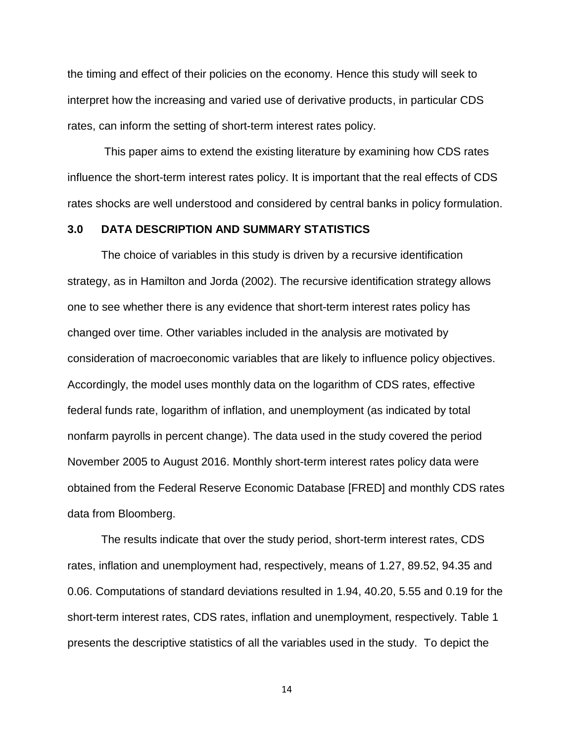the timing and effect of their policies on the economy. Hence this study will seek to interpret how the increasing and varied use of derivative products, in particular CDS rates, can inform the setting of short-term interest rates policy.

This paper aims to extend the existing literature by examining how CDS rates influence the short-term interest rates policy. It is important that the real effects of CDS rates shocks are well understood and considered by central banks in policy formulation.

### **3.0 DATA DESCRIPTION AND SUMMARY STATISTICS**

The choice of variables in this study is driven by a recursive identification strategy, as in Hamilton and Jorda (2002). The recursive identification strategy allows one to see whether there is any evidence that short-term interest rates policy has changed over time. Other variables included in the analysis are motivated by consideration of macroeconomic variables that are likely to influence policy objectives. Accordingly, the model uses monthly data on the logarithm of CDS rates, effective federal funds rate, logarithm of inflation, and unemployment (as indicated by total nonfarm payrolls in percent change). The data used in the study covered the period November 2005 to August 2016. Monthly short-term interest rates policy data were obtained from the Federal Reserve Economic Database [FRED] and monthly CDS rates data from Bloomberg.

The results indicate that over the study period, short-term interest rates, CDS rates, inflation and unemployment had, respectively, means of 1.27, 89.52, 94.35 and 0.06. Computations of standard deviations resulted in 1.94, 40.20, 5.55 and 0.19 for the short-term interest rates, CDS rates, inflation and unemployment, respectively. Table 1 presents the descriptive statistics of all the variables used in the study. To depict the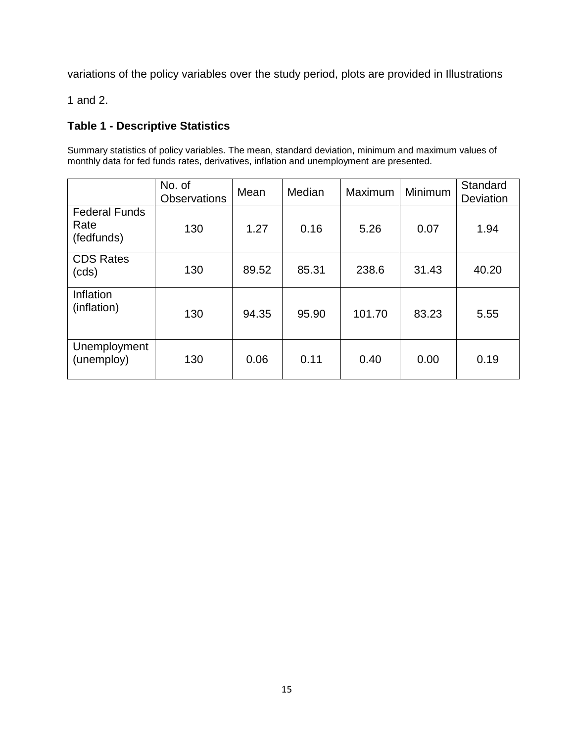variations of the policy variables over the study period, plots are provided in Illustrations

1 and 2.

# **Table 1 - Descriptive Statistics**

Summary statistics of policy variables. The mean, standard deviation, minimum and maximum values of monthly data for fed funds rates, derivatives, inflation and unemployment are presented.

|                                            | No. of<br><b>Observations</b> | Mean  | Median | Maximum | Minimum | Standard<br><b>Deviation</b> |
|--------------------------------------------|-------------------------------|-------|--------|---------|---------|------------------------------|
| <b>Federal Funds</b><br>Rate<br>(fedfunds) | 130                           | 1.27  | 0.16   | 5.26    | 0.07    | 1.94                         |
| <b>CDS Rates</b><br>(cds)                  | 130                           | 89.52 | 85.31  | 238.6   | 31.43   | 40.20                        |
| Inflation<br>(inflation)                   | 130                           | 94.35 | 95.90  | 101.70  | 83.23   | 5.55                         |
| Unemployment<br>(unemploy)                 | 130                           | 0.06  | 0.11   | 0.40    | 0.00    | 0.19                         |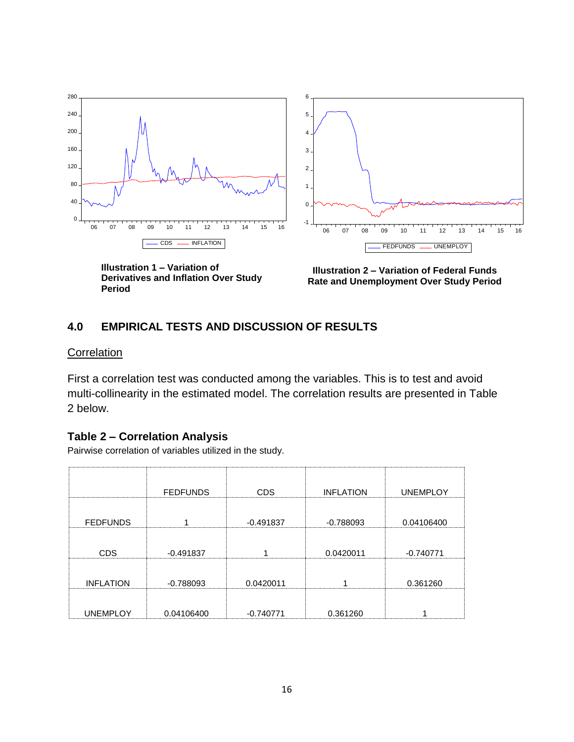

**Illustration 1 – Variation of Derivatives and Inflation Over Study Period**

**Illustration 2 – Variation of Federal Funds Rate and Unemployment Over Study Period**

# **4.0 EMPIRICAL TESTS AND DISCUSSION OF RESULTS**

## **Correlation**

First a correlation test was conducted among the variables. This is to test and avoid multi-collinearity in the estimated model. The correlation results are presented in Table 2 below.

## **Table 2 – Correlation Analysis**

Pairwise correlation of variables utilized in the study.

|                  | <b>FEDFUNDS</b> | <b>CDS</b>  | <b>INFLATION</b> | <b>UNEMPLOY</b> |
|------------------|-----------------|-------------|------------------|-----------------|
| <b>FEDFUNDS</b>  |                 | $-0.491837$ | $-0.788093$      | 0.04106400      |
| <b>CDS</b>       | $-0.491837$     |             | 0.0420011        | $-0.740771$     |
| <b>INFLATION</b> | $-0.788093$     | 0.0420011   |                  | 0.361260        |
| <b>UNEMPLOY</b>  | 0.04106400      | $-0.740771$ | 0.361260         |                 |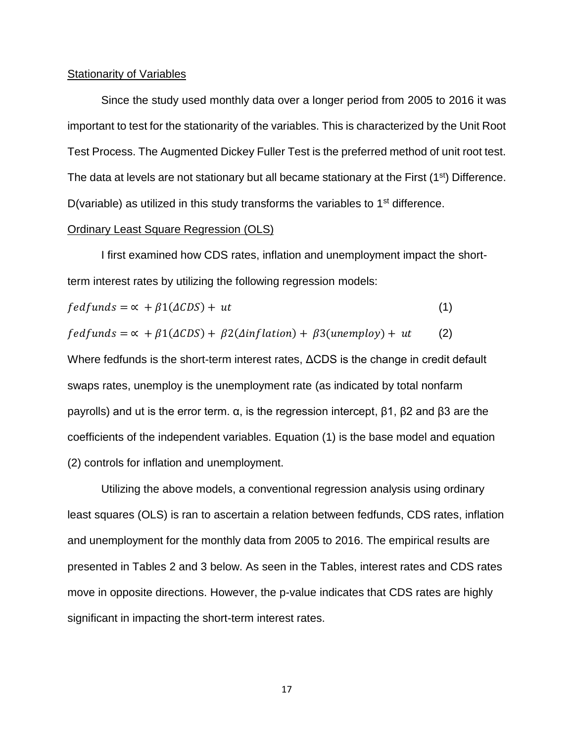#### Stationarity of Variables

Since the study used monthly data over a longer period from 2005 to 2016 it was important to test for the stationarity of the variables. This is characterized by the Unit Root Test Process. The Augmented Dickey Fuller Test is the preferred method of unit root test. The data at levels are not stationary but all became stationary at the First (1<sup>st</sup>) Difference. D(variable) as utilized in this study transforms the variables to  $1<sup>st</sup>$  difference.

### Ordinary Least Square Regression (OLS)

I first examined how CDS rates, inflation and unemployment impact the shortterm interest rates by utilizing the following regression models:

$$
fed funds = \alpha + \beta 1(\Delta CDS) + ut \tag{1}
$$

$$
fed funds = \alpha + \beta 1(\Delta CDS) + \beta 2(\Delta inflation) + \beta 3(un employ) + ut
$$
 (2)

Where fedfunds is the short-term interest rates, ΔCDS is the change in credit default swaps rates, unemploy is the unemployment rate (as indicated by total nonfarm payrolls) and ut is the error term. α, is the regression intercept, β1, β2 and β3 are the coefficients of the independent variables. Equation (1) is the base model and equation (2) controls for inflation and unemployment.

Utilizing the above models, a conventional regression analysis using ordinary least squares (OLS) is ran to ascertain a relation between fedfunds, CDS rates, inflation and unemployment for the monthly data from 2005 to 2016. The empirical results are presented in Tables 2 and 3 below. As seen in the Tables, interest rates and CDS rates move in opposite directions. However, the p-value indicates that CDS rates are highly significant in impacting the short-term interest rates.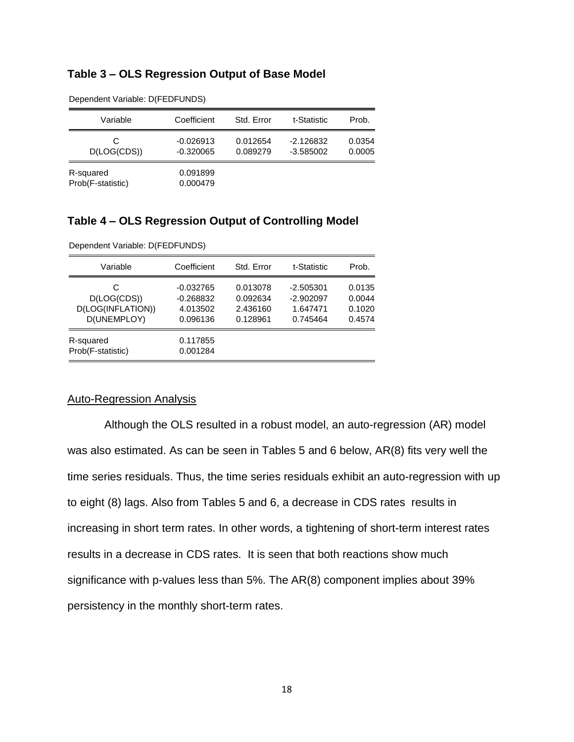# **Table 3 – OLS Regression Output of Base Model**

| Variable                       | Coefficient                | Std. Error           | t-Statistic                | Prob.            |
|--------------------------------|----------------------------|----------------------|----------------------------|------------------|
| C<br>D(LOG(CDS))               | $-0.026913$<br>$-0.320065$ | 0.012654<br>0.089279 | $-2.126832$<br>$-3.585002$ | 0.0354<br>0.0005 |
| R-squared<br>Prob(F-statistic) | 0.091899<br>0.000479       |                      |                            |                  |

Dependent Variable: D(FEDFUNDS)

### **Table 4 – OLS Regression Output of Controlling Model**

| Variable                                             | Coefficient                                        | Std. Error                                   | t-Statistic                                        | Prob.                                |
|------------------------------------------------------|----------------------------------------------------|----------------------------------------------|----------------------------------------------------|--------------------------------------|
| C<br>D(LOG(CDS))<br>D(LOG(INFLATION))<br>D(UNEMPLOY) | $-0.032765$<br>$-0.268832$<br>4.013502<br>0.096136 | 0.013078<br>0.092634<br>2.436160<br>0.128961 | $-2.505301$<br>$-2.902097$<br>1.647471<br>0.745464 | 0.0135<br>0.0044<br>0.1020<br>0.4574 |
| R-squared<br>Prob(F-statistic)                       | 0.117855<br>0.001284                               |                                              |                                                    |                                      |

Dependent Variable: D(FEDFUNDS)

### Auto-Regression Analysis

Although the OLS resulted in a robust model, an auto-regression (AR) model was also estimated. As can be seen in Tables 5 and 6 below, AR(8) fits very well the time series residuals. Thus, the time series residuals exhibit an auto-regression with up to eight (8) lags. Also from Tables 5 and 6, a decrease in CDS rates results in increasing in short term rates. In other words, a tightening of short-term interest rates results in a decrease in CDS rates. It is seen that both reactions show much significance with p-values less than 5%. The AR(8) component implies about 39% persistency in the monthly short-term rates.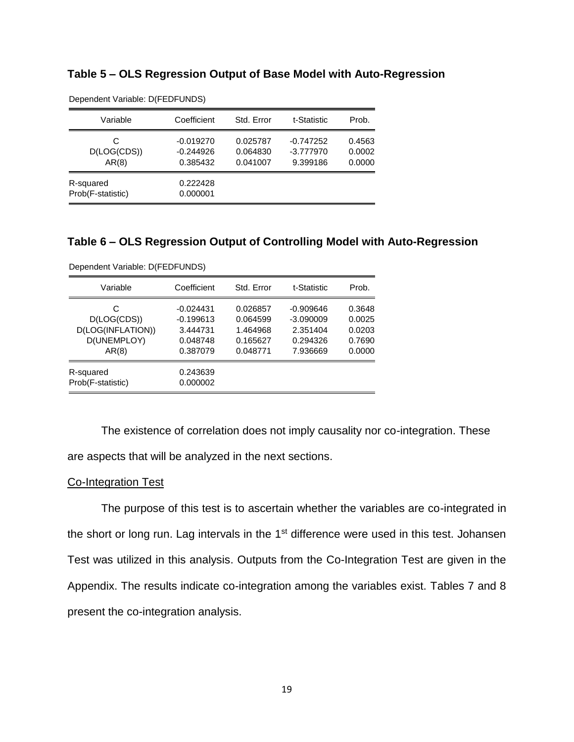|  |  |  |  | Table 5 - OLS Regression Output of Base Model with Auto-Regression |
|--|--|--|--|--------------------------------------------------------------------|
|--|--|--|--|--------------------------------------------------------------------|

| Variable                       | Coefficient                            | Std. Error                       | t-Statistic                            | Prob.                      |
|--------------------------------|----------------------------------------|----------------------------------|----------------------------------------|----------------------------|
| C<br>D(LOG(CDS))<br>AR(8)      | $-0.019270$<br>$-0.244926$<br>0.385432 | 0.025787<br>0.064830<br>0.041007 | $-0.747252$<br>$-3.777970$<br>9.399186 | 0.4563<br>0.0002<br>0.0000 |
| R-squared<br>Prob(F-statistic) | 0.222428<br>0.000001                   |                                  |                                        |                            |

Dependent Variable: D(FEDFUNDS)

## **Table 6 – OLS Regression Output of Controlling Model with Auto-Regression**

| Variable                                                      | Coefficient                                                    | Std. Error                                               | t-Statistic                                                    | Prob.                                          |
|---------------------------------------------------------------|----------------------------------------------------------------|----------------------------------------------------------|----------------------------------------------------------------|------------------------------------------------|
| С<br>D(LOG(CDS))<br>D(LOG(INFLATION))<br>D(UNEMPLOY)<br>AR(8) | $-0.024431$<br>$-0.199613$<br>3.444731<br>0.048748<br>0.387079 | 0.026857<br>0.064599<br>1.464968<br>0.165627<br>0.048771 | $-0.909646$<br>$-3.090009$<br>2.351404<br>0.294326<br>7.936669 | 0.3648<br>0.0025<br>0.0203<br>0.7690<br>0.0000 |
| R-squared<br>Prob(F-statistic)                                | 0.243639<br>0.000002                                           |                                                          |                                                                |                                                |

Dependent Variable: D(FEDFUNDS)

The existence of correlation does not imply causality nor co-integration. These are aspects that will be analyzed in the next sections.

### Co-Integration Test

The purpose of this test is to ascertain whether the variables are co-integrated in the short or long run. Lag intervals in the 1<sup>st</sup> difference were used in this test. Johansen Test was utilized in this analysis. Outputs from the Co-Integration Test are given in the Appendix. The results indicate co-integration among the variables exist. Tables 7 and 8 present the co-integration analysis.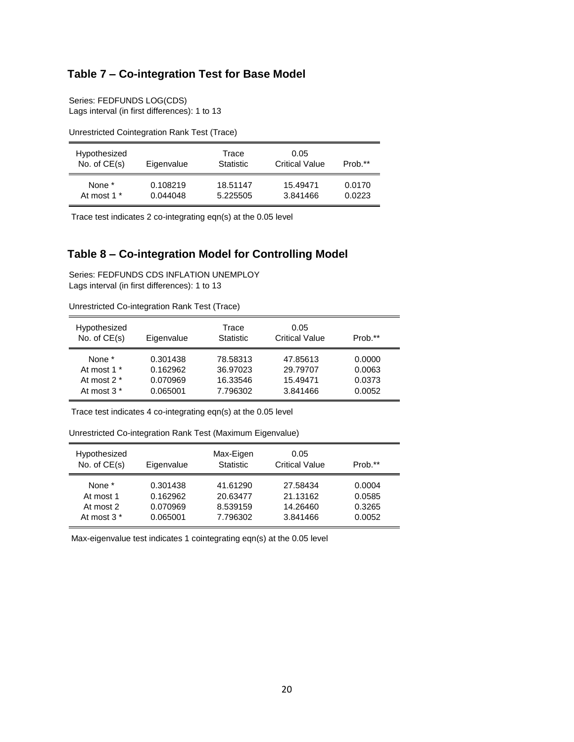# **Table 7 – Co-integration Test for Base Model**

Series: FEDFUNDS LOG(CDS) Lags interval (in first differences): 1 to 13

| Hypothesized<br>No. of $CE(s)$ | Eigenvalue | Trace<br><b>Statistic</b> | 0.05<br><b>Critical Value</b> | Prob.** |
|--------------------------------|------------|---------------------------|-------------------------------|---------|
| None *                         | 0.108219   | 18.51147                  | 15.49471                      | 0.0170  |
| At most 1 *                    | 0.044048   | 5.225505                  | 3.841466                      | 0.0223  |

Unrestricted Cointegration Rank Test (Trace)

Trace test indicates 2 co-integrating eqn(s) at the 0.05 level

# **Table 8 – Co-integration Model for Controlling Model**

Series: FEDFUNDS CDS INFLATION UNEMPLOY Lags interval (in first differences): 1 to 13

| Hypothesized<br>No. of $CE(s)$ | Eigenvalue | Trace<br><b>Statistic</b> | 0.05<br><b>Critical Value</b> | Prob.** |
|--------------------------------|------------|---------------------------|-------------------------------|---------|
| None *                         | 0.301438   | 78.58313                  | 47.85613                      | 0.0000  |
| At most 1 <sup>*</sup>         | 0.162962   | 36.97023                  | 29.79707                      | 0.0063  |
| At most $2^*$                  | 0.070969   | 16.33546                  | 15.49471                      | 0.0373  |
| At most $3*$                   | 0.065001   | 7.796302                  | 3.841466                      | 0.0052  |

Unrestricted Co-integration Rank Test (Trace)

Trace test indicates 4 co-integrating eqn(s) at the 0.05 level

Unrestricted Co-integration Rank Test (Maximum Eigenvalue)

| Hypothesized<br>No. of $CE(s)$ | Eigenvalue | Max-Eigen<br>Statistic | 0.05<br><b>Critical Value</b> | Prob.** |
|--------------------------------|------------|------------------------|-------------------------------|---------|
| None *                         | 0.301438   | 41.61290               | 27.58434                      | 0.0004  |
| At most 1                      | 0.162962   | 20.63477               | 21.13162                      | 0.0585  |
| At most 2                      | 0.070969   | 8.539159               | 14.26460                      | 0.3265  |
| At most 3 <sup>*</sup>         | 0.065001   | 7.796302               | 3.841466                      | 0.0052  |

Max-eigenvalue test indicates 1 cointegrating eqn(s) at the 0.05 level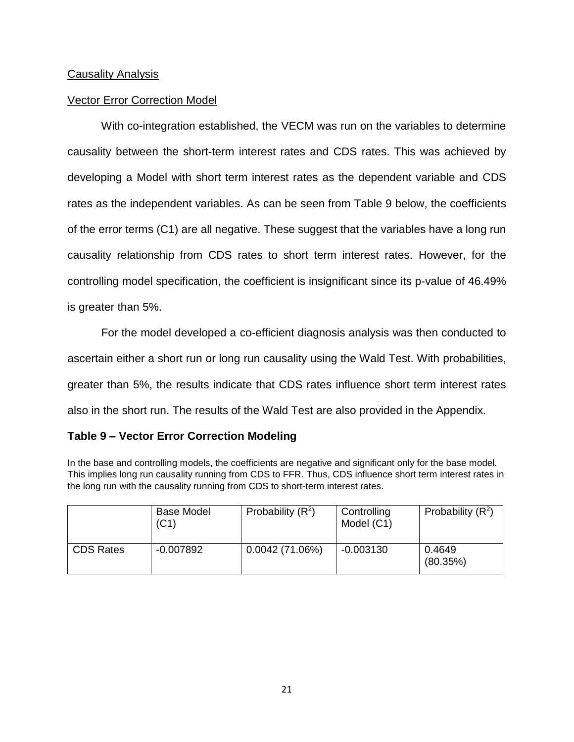# Causality Analysis

# Vector Error Correction Model

With co-integration established, the VECM was run on the variables to determine causality between the short-term interest rates and CDS rates. This was achieved by developing a Model with short term interest rates as the dependent variable and CDS rates as the independent variables. As can be seen from Table 9 below, the coefficients of the error terms (C1) are all negative. These suggest that the variables have a long run causality relationship from CDS rates to short term interest rates. However, for the controlling model specification, the coefficient is insignificant since its p-value of 46.49% is greater than 5%.

For the model developed a co-efficient diagnosis analysis was then conducted to ascertain either a short run or long run causality using the Wald Test. With probabilities, greater than 5%, the results indicate that CDS rates influence short term interest rates also in the short run. The results of the Wald Test are also provided in the Appendix.

# **Table 9 – Vector Error Correction Modeling**

In the base and controlling models, the coefficients are negative and significant only for the base model. This implies long run causality running from CDS to FFR. Thus, CDS influence short term interest rates in the long run with the causality running from CDS to short-term interest rates.

|                  | <b>Base Model</b><br>(C1) | Probability $(R^2)$ | Controlling<br>Model (C1) | Probability $(R^2)$ |
|------------------|---------------------------|---------------------|---------------------------|---------------------|
| <b>CDS Rates</b> | -0.007892                 | 0.0042(71.06%)      | $-0.003130$               | 0.4649<br>(80.35%)  |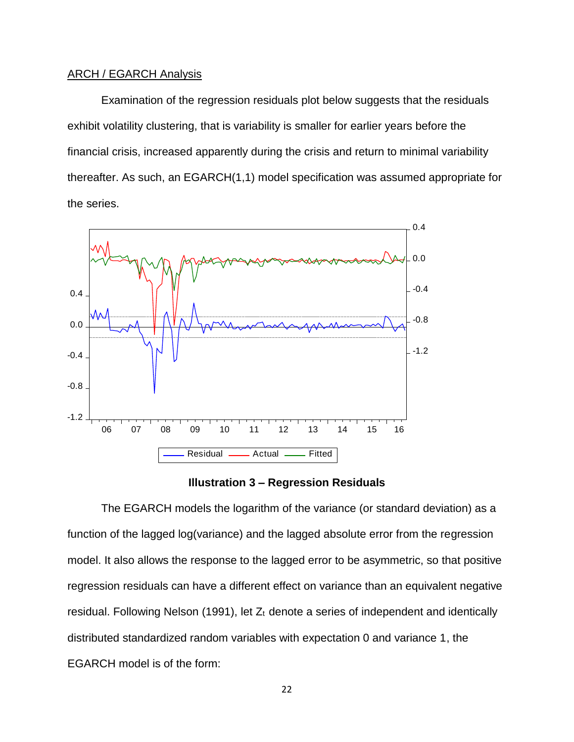### ARCH / EGARCH Analysis

Examination of the regression residuals plot below suggests that the residuals exhibit volatility clustering, that is variability is smaller for earlier years before the financial crisis, increased apparently during the crisis and return to minimal variability thereafter. As such, an EGARCH(1,1) model specification was assumed appropriate for the series.





The EGARCH models the logarithm of the variance (or standard deviation) as a function of the lagged log(variance) and the lagged absolute error from the regression model. It also allows the response to the lagged error to be asymmetric, so that positive regression residuals can have a different effect on variance than an equivalent negative residual. Following Nelson (1991), let  $Z_t$  denote a series of independent and identically distributed standardized random variables with expectation 0 and variance 1, the EGARCH model is of the form: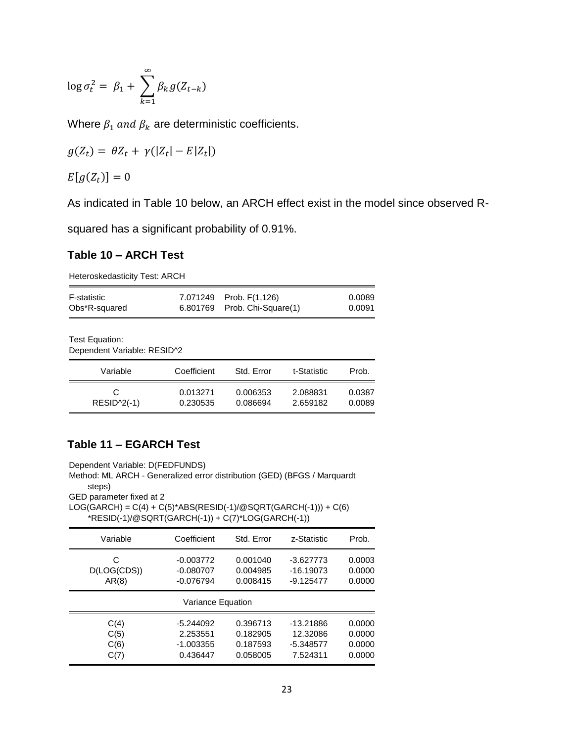$$
\log \sigma_t^2 = \beta_1 + \sum_{k=1}^{\infty} \beta_k g(Z_{t-k})
$$

Where  $\beta_1$  and  $\beta_k$  are deterministic coefficients.

$$
g(Z_t) = \theta Z_t + \gamma(|Z_t| - E|Z_t|)
$$

 $E[g(Z_t)] = 0$ 

As indicated in Table 10 below, an ARCH effect exist in the model since observed R-

squared has a significant probability of 0.91%.

## **Table 10 – ARCH Test**

Heteroskedasticity Test: ARCH

| Obs*R-squared | 6.801769 Prob. Chi-Square(1) | 0.0091 |
|---------------|------------------------------|--------|
| F-statistic   | 7.071249 Prob. F(1,126)      | 0.0089 |

Test Equation: Dependent Variable: RESID^2

| Variable          | Coefficient          | Std. Error           | t-Statistic          | Prob.            |
|-------------------|----------------------|----------------------|----------------------|------------------|
| C<br>$RESID2(-1)$ | 0.013271<br>0.230535 | 0.006353<br>0.086694 | 2.088831<br>2.659182 | 0.0387<br>0.0089 |

# **Table 11 – EGARCH Test**

Dependent Variable: D(FEDFUNDS)

Method: ML ARCH - Generalized error distribution (GED) (BFGS / Marquardt steps)

GED parameter fixed at 2

 $LOG(GARCH) = C(4) + C(5)^*ABS(RESID(-1)/@SQRT(GARCH(-1))) + C(6)$ \*RESID(-1)/@SQRT(GARCH(-1)) + C(7)\*LOG(GARCH(-1))

| Variable    | Coefficient       | Std. Error | z-Statistic | Prob.  |
|-------------|-------------------|------------|-------------|--------|
| С           | $-0.003772$       | 0.001040   | $-3.627773$ | 0.0003 |
| D(LOG(CDS)) | $-0.080707$       | 0.004985   | $-16.19073$ | 0.0000 |
| AR(8)       | $-0.076794$       | 0.008415   | $-9.125477$ | 0.0000 |
|             | Variance Equation |            |             |        |
| C(4)        | $-5.244092$       | 0.396713   | -13.21886   | 0.0000 |
| C(5)        | 2.253551          | 0.182905   | 12.32086    | 0.0000 |
| C(6)        | $-1.003355$       | 0.187593   | $-5.348577$ | 0.0000 |
| C(7)        | 0.436447          | 0.058005   | 7.524311    | 0.0000 |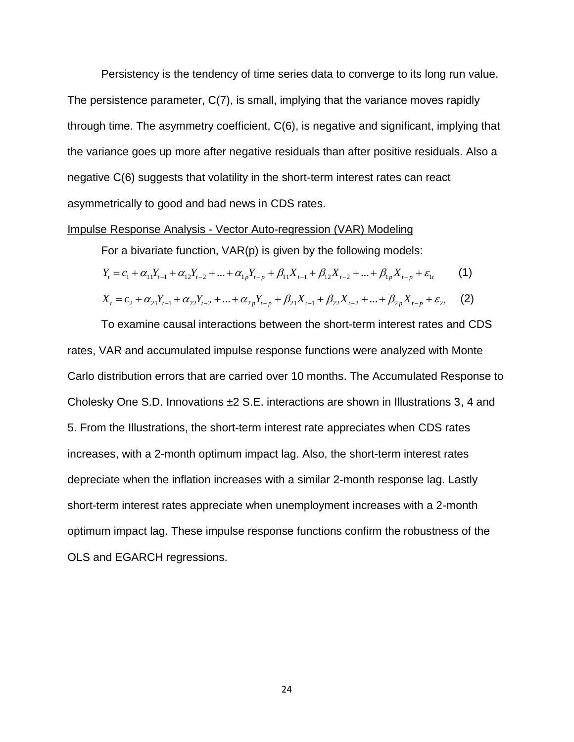Persistency is the tendency of time series data to converge to its long run value. The persistence parameter, C(7), is small, implying that the variance moves rapidly through time. The asymmetry coefficient, C(6), is negative and significant, implying that the variance goes up more after negative residuals than after positive residuals. Also a negative C(6) suggests that volatility in the short-term interest rates can react asymmetrically to good and bad news in CDS rates.

### Impulse Response Analysis - Vector Auto-regression (VAR) Modeling

For a bivariate function, VAR(p) is given by the following models:

$$
Y_{t} = c_{1} + \alpha_{11}Y_{t-1} + \alpha_{12}Y_{t-2} + \dots + \alpha_{1p}Y_{t-p} + \beta_{11}X_{t-1} + \beta_{12}X_{t-2} + \dots + \beta_{1p}X_{t-p} + \varepsilon_{1t}
$$
 (1)

$$
X_{t} = c_{2} + \alpha_{21}Y_{t-1} + \alpha_{22}Y_{t-2} + \dots + \alpha_{2p}Y_{t-p} + \beta_{21}X_{t-1} + \beta_{22}X_{t-2} + \dots + \beta_{2p}X_{t-p} + \varepsilon_{2t}
$$
 (2)

To examine causal interactions between the short-term interest rates and CDS rates, VAR and accumulated impulse response functions were analyzed with Monte Carlo distribution errors that are carried over 10 months. The Accumulated Response to Cholesky One S.D. Innovations ±2 S.E. interactions are shown in Illustrations 3, 4 and 5. From the Illustrations, the short-term interest rate appreciates when CDS rates increases, with a 2-month optimum impact lag. Also, the short-term interest rates depreciate when the inflation increases with a similar 2-month response lag. Lastly short-term interest rates appreciate when unemployment increases with a 2-month optimum impact lag. These impulse response functions confirm the robustness of the OLS and EGARCH regressions.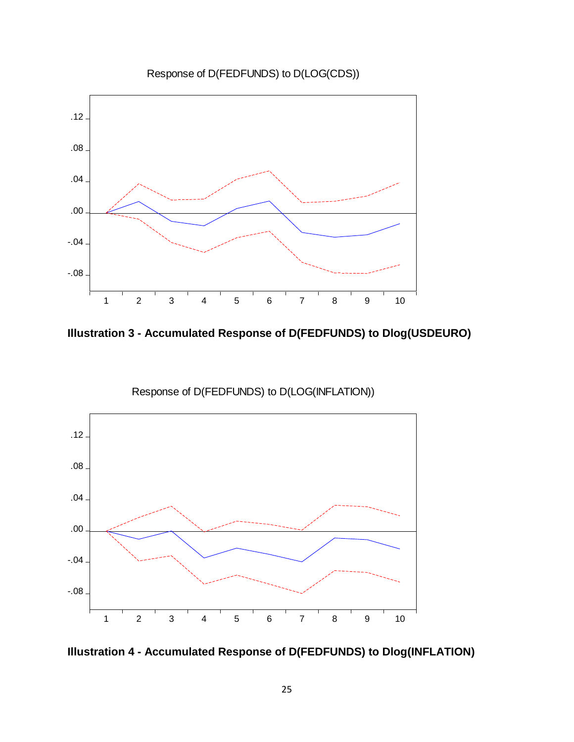

**Illustration 3 - Accumulated Response of D(FEDFUNDS) to Dlog(USDEURO)**



Response of D(FEDFUNDS) to D(LOG(INFLATION))

**Illustration 4 - Accumulated Response of D(FEDFUNDS) to Dlog(INFLATION)**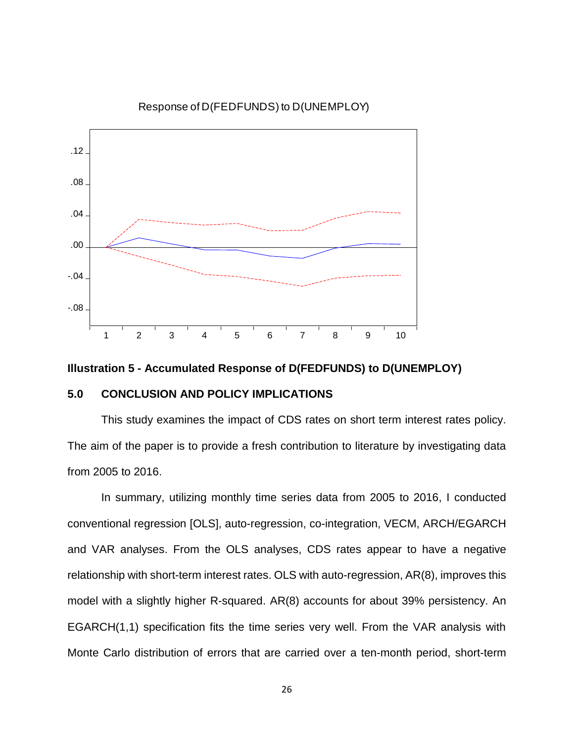

Response of D(FEDFUNDS) to D(UNEMPLOY)

### **Illustration 5 - Accumulated Response of D(FEDFUNDS) to D(UNEMPLOY)**

### **5.0 CONCLUSION AND POLICY IMPLICATIONS**

This study examines the impact of CDS rates on short term interest rates policy. The aim of the paper is to provide a fresh contribution to literature by investigating data from 2005 to 2016.

In summary, utilizing monthly time series data from 2005 to 2016, I conducted conventional regression [OLS], auto-regression, co-integration, VECM, ARCH/EGARCH and VAR analyses. From the OLS analyses, CDS rates appear to have a negative relationship with short-term interest rates. OLS with auto-regression, AR(8), improves this model with a slightly higher R-squared. AR(8) accounts for about 39% persistency. An EGARCH(1,1) specification fits the time series very well. From the VAR analysis with Monte Carlo distribution of errors that are carried over a ten-month period, short-term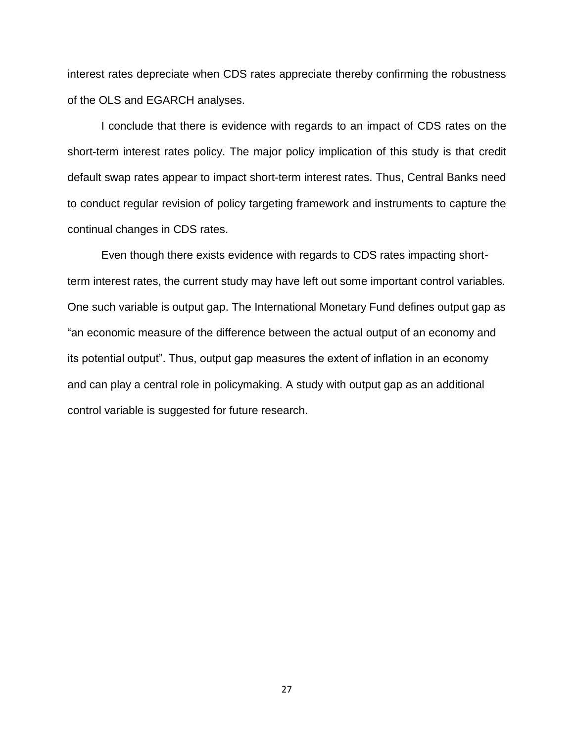interest rates depreciate when CDS rates appreciate thereby confirming the robustness of the OLS and EGARCH analyses.

I conclude that there is evidence with regards to an impact of CDS rates on the short-term interest rates policy. The major policy implication of this study is that credit default swap rates appear to impact short-term interest rates. Thus, Central Banks need to conduct regular revision of policy targeting framework and instruments to capture the continual changes in CDS rates.

Even though there exists evidence with regards to CDS rates impacting shortterm interest rates, the current study may have left out some important control variables. One such variable is output gap. The International Monetary Fund defines output gap as "an economic measure of the difference between the actual output of an economy and its potential output". Thus, output gap measures the extent of inflation in an economy and can play a central role in policymaking. A study with output gap as an additional control variable is suggested for future research.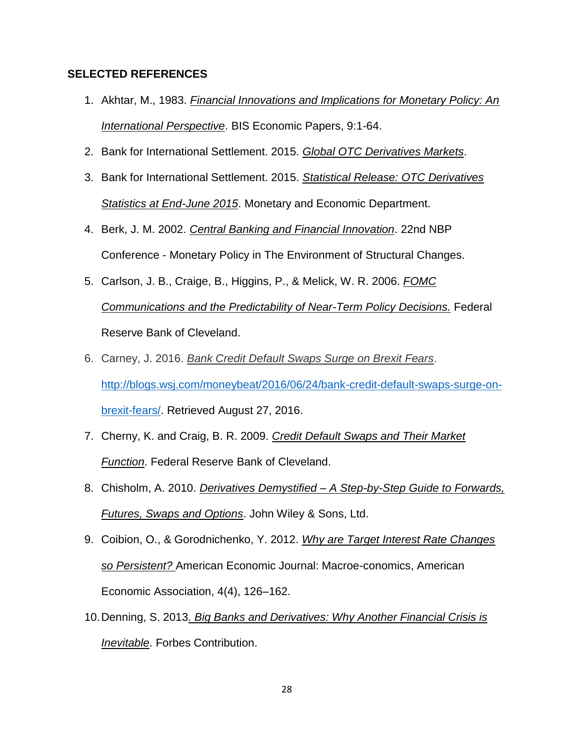## **SELECTED REFERENCES**

- 1. Akhtar, M., 1983. *Financial Innovations and Implications for Monetary Policy: An International Perspective*. BIS Economic Papers, 9:1-64.
- 2. Bank for International Settlement. 2015. *Global OTC Derivatives Markets*.
- 3. Bank for International Settlement. 2015. *Statistical Release: OTC Derivatives Statistics at End-June 2015*. Monetary and Economic Department.
- 4. Berk, J. M. 2002. *Central Banking and Financial Innovation*. 22nd NBP Conference - Monetary Policy in The Environment of Structural Changes.
- 5. Carlson, J. B., Craige, B., Higgins, P., & Melick, W. R. 2006. *FOMC Communications and the Predictability of Near-Term Policy Decisions.* Federal Reserve Bank of Cleveland.
- 6. Carney, J. 2016. *Bank Credit Default Swaps Surge on Brexit Fears*. [http://blogs.wsj.com/moneybeat/2016/06/24/bank-credit-default-swaps-surge-on](http://blogs.wsj.com/moneybeat/2016/06/24/bank-credit-default-swaps-surge-on-brexit-fears/)[brexit-fears/.](http://blogs.wsj.com/moneybeat/2016/06/24/bank-credit-default-swaps-surge-on-brexit-fears/) Retrieved August 27, 2016.
- 7. Cherny, K. and Craig, B. R. 2009. *Credit Default Swaps and Their Market Function*. Federal Reserve Bank of Cleveland.
- 8. Chisholm, A. 2010. *Derivatives Demystified – A Step-by-Step Guide to Forwards, Futures, Swaps and Options*. John Wiley & Sons, Ltd.
- 9. Coibion, O., & Gorodnichenko, Y. 2012. *Why are Target Interest Rate Changes so Persistent?* American Economic Journal: Macroe-conomics, American Economic Association, 4(4), 126–162.
- 10.Denning, S. 2013*. Big Banks and Derivatives: Why Another Financial Crisis is Inevitable*. Forbes Contribution.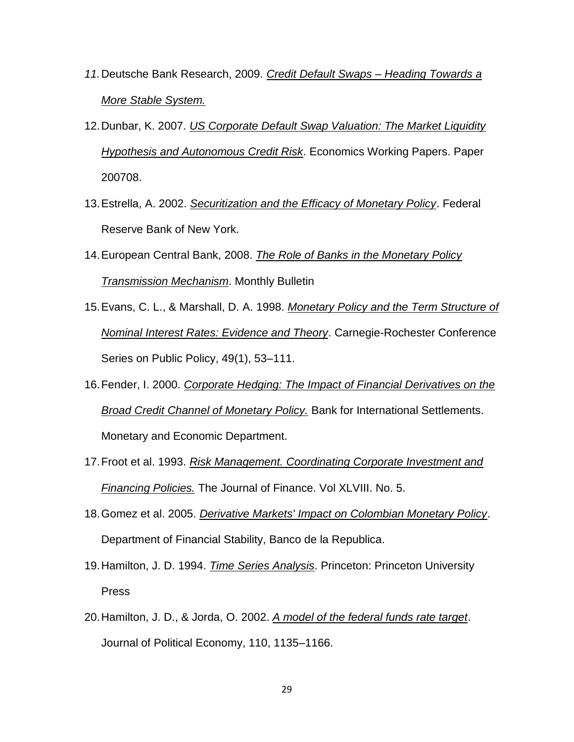- *11.*Deutsche Bank Research, 2009. *Credit Default Swaps – Heading Towards a More Stable System.*
- 12.Dunbar, K. 2007. *US Corporate Default Swap Valuation: The Market Liquidity Hypothesis and Autonomous Credit Risk*. Economics Working Papers. Paper 200708.
- 13.Estrella, A. 2002. *Securitization and the Efficacy of Monetary Policy*. Federal Reserve Bank of New York.
- 14.European Central Bank, 2008. *The Role of Banks in the Monetary Policy Transmission Mechanism*. Monthly Bulletin
- 15.Evans, C. L., & Marshall, D. A. 1998. *Monetary Policy and the Term Structure of Nominal Interest Rates: Evidence and Theory*. Carnegie-Rochester Conference Series on Public Policy, 49(1), 53–111.
- 16.Fender, I. 2000. *Corporate Hedging: The Impact of Financial Derivatives on the Broad Credit Channel of Monetary Policy.* Bank for International Settlements. Monetary and Economic Department.
- 17.Froot et al. 1993. *Risk Management. Coordinating Corporate Investment and Financing Policies.* The Journal of Finance. Vol XLVIII. No. 5.
- 18.Gomez et al. 2005. *Derivative Markets' Impact on Colombian Monetary Policy*. Department of Financial Stability, Banco de la Republica.
- 19.Hamilton, J. D. 1994. *Time Series Analysis*. Princeton: Princeton University Press
- 20.Hamilton, J. D., & Jorda, O. 2002. *A model of the federal funds rate target*. Journal of Political Economy, 110, 1135–1166.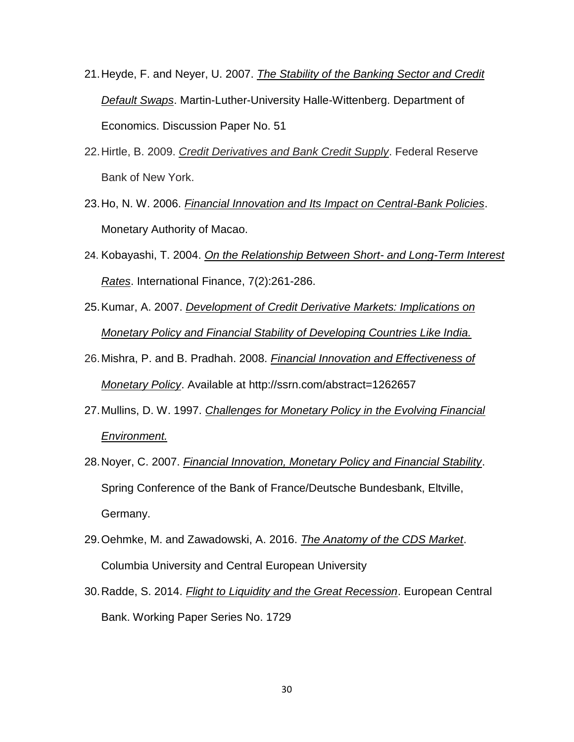- 21.Heyde, F. and Neyer, U. 2007. *The Stability of the Banking Sector and Credit Default Swaps*. Martin-Luther-University Halle-Wittenberg. Department of Economics. Discussion Paper No. 51
- 22.Hirtle, B. 2009. *Credit Derivatives and Bank Credit Supply*. Federal Reserve Bank of New York.
- 23.Ho, N. W. 2006. *Financial Innovation and Its Impact on Central-Bank Policies*. Monetary Authority of Macao.
- 24. Kobayashi, T. 2004. *On the Relationship Between Short- and Long-Term Interest Rates*. International Finance, 7(2):261-286.
- 25.Kumar, A. 2007. *Development of Credit Derivative Markets: Implications on Monetary Policy and Financial Stability of Developing Countries Like India.*
- 26.Mishra, P. and B. Pradhah. 2008. *Financial Innovation and Effectiveness of Monetary Policy*. Available at http://ssrn.com/abstract=1262657
- 27.Mullins, D. W. 1997. *Challenges for Monetary Policy in the Evolving Financial Environment.*
- 28.Noyer, C. 2007. *Financial Innovation, Monetary Policy and Financial Stability*. Spring Conference of the Bank of France/Deutsche Bundesbank, Eltville, Germany.
- 29.Oehmke, M. and Zawadowski, A. 2016. *The Anatomy of the CDS Market*. Columbia University and Central European University
- 30.Radde, S. 2014. *Flight to Liquidity and the Great Recession*. European Central Bank. Working Paper Series No. 1729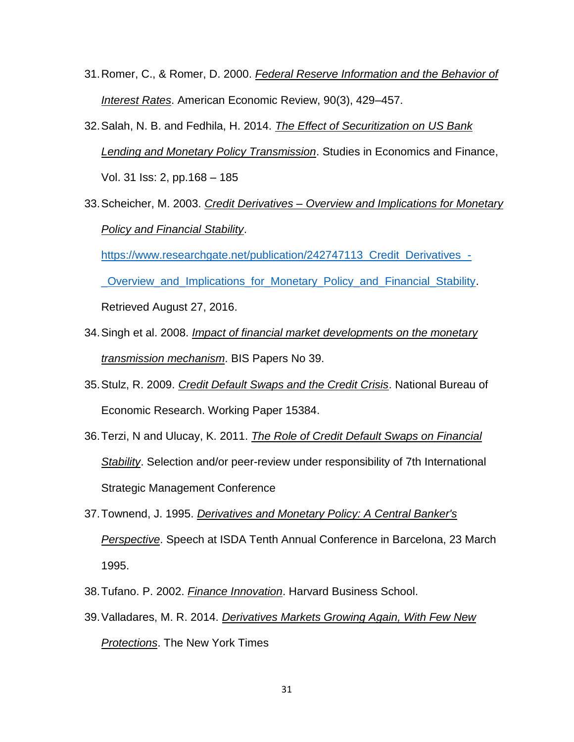- 31.Romer, C., & Romer, D. 2000. *Federal Reserve Information and the Behavior of Interest Rates*. American Economic Review, 90(3), 429–457.
- 32.Salah, N. B. and Fedhila, H. 2014. *The Effect of Securitization on US Bank Lending and Monetary Policy Transmission*. Studies in Economics and Finance, Vol. 31 Iss: 2, pp.168 – 185
- 33.Scheicher, M. 2003. *Credit Derivatives – Overview and Implications for Monetary Policy and Financial Stability*.

[https://www.researchgate.net/publication/242747113\\_Credit\\_Derivatives\\_-](https://www.researchgate.net/publication/242747113_Credit_Derivatives_-_Overview_and_Implications_for_Monetary_Policy_and_Financial_Stability)

[\\_Overview\\_and\\_Implications\\_for\\_Monetary\\_Policy\\_and\\_Financial\\_Stability.](https://www.researchgate.net/publication/242747113_Credit_Derivatives_-_Overview_and_Implications_for_Monetary_Policy_and_Financial_Stability)

Retrieved August 27, 2016.

- 34.Singh et al. 2008. *Impact of financial market developments on the monetary transmission mechanism*. BIS Papers No 39.
- 35.Stulz, R. 2009. *Credit Default Swaps and the Credit Crisis*. National Bureau of Economic Research. Working Paper 15384.
- 36.Terzi, N and Ulucay, K. 2011. *The Role of Credit Default Swaps on Financial Stability*. Selection and/or peer-review under responsibility of 7th International Strategic Management Conference
- 37.Townend, J. 1995. *Derivatives and Monetary Policy: A Central Banker's Perspective*. Speech at ISDA Tenth Annual Conference in Barcelona, 23 March 1995.
- 38.Tufano. P. 2002. *Finance Innovation*. Harvard Business School.
- 39.Valladares, M. R. 2014. *Derivatives Markets Growing Again, With Few New Protections*. The New York Times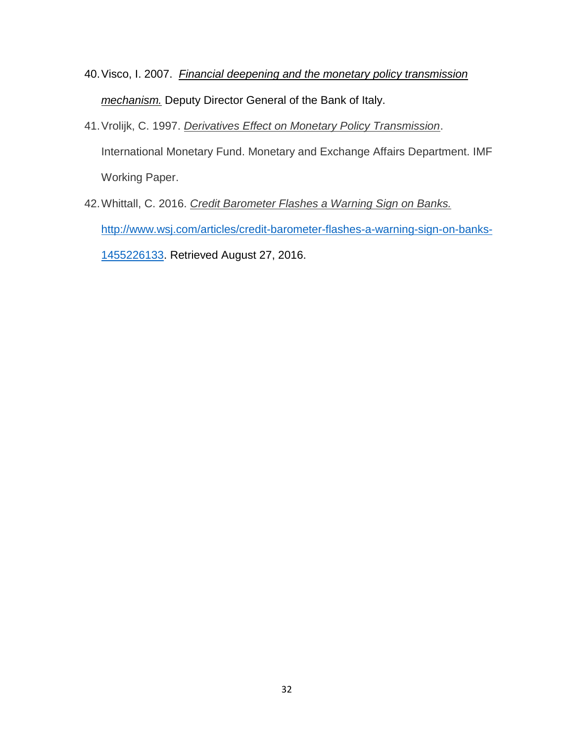- 40.Visco, I. 2007. *Financial deepening and the monetary policy transmission mechanism.* Deputy Director General of the Bank of Italy.
- 41.Vrolijk, C. 1997. *Derivatives Effect on Monetary Policy Transmission*. International Monetary Fund. Monetary and Exchange Affairs Department. IMF Working Paper.
- 42.Whittall, C. 2016. *Credit Barometer Flashes a Warning Sign on Banks.* [http://www.wsj.com/articles/credit-barometer-flashes-a-warning-sign-on-banks-](http://www.wsj.com/articles/credit-barometer-flashes-a-warning-sign-on-banks-1455226133)[1455226133.](http://www.wsj.com/articles/credit-barometer-flashes-a-warning-sign-on-banks-1455226133) Retrieved August 27, 2016.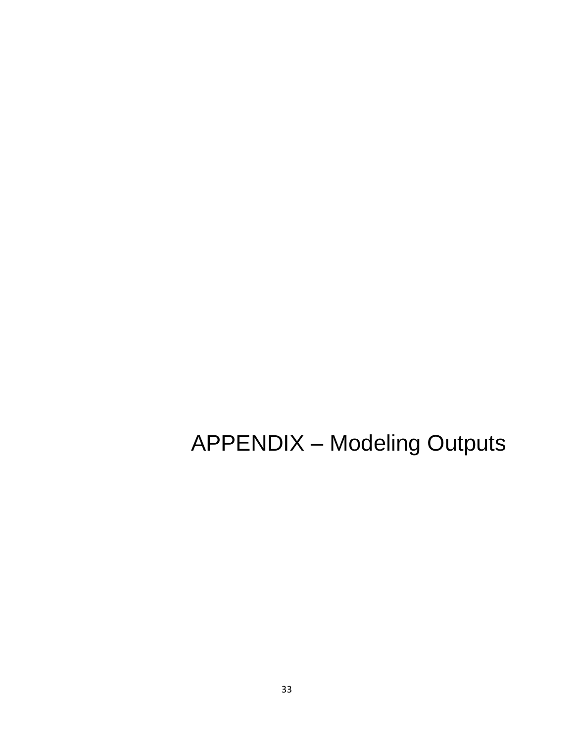APPENDIX – Modeling Outputs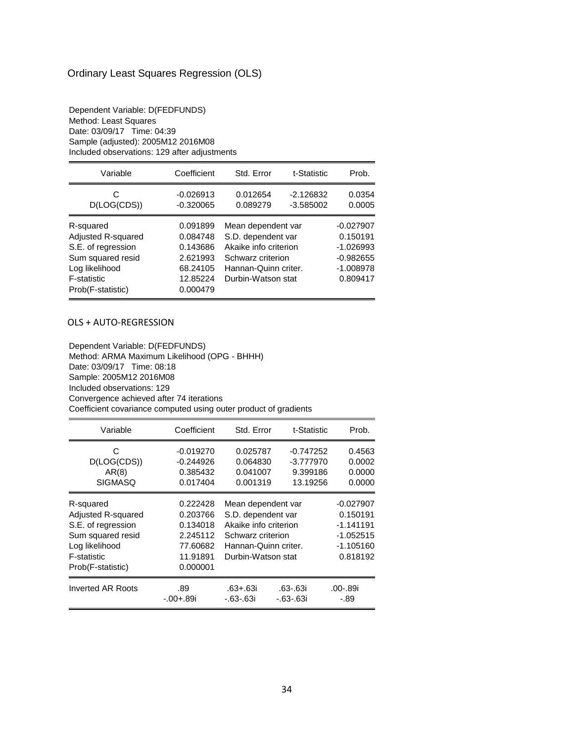# Ordinary Least Squares Regression (OLS)

Dependent Variable: D(FEDFUNDS) Method: Least Squares Date: 03/09/17 Time: 04:39 Sample (adjusted): 2005M12 2016M08 Included observations: 129 after adjustments

| Variable                                                                                                                         | Coefficient                                                                      | Std. Error                                                                                                                           | t-Statistic                | Prob.                                                                            |
|----------------------------------------------------------------------------------------------------------------------------------|----------------------------------------------------------------------------------|--------------------------------------------------------------------------------------------------------------------------------------|----------------------------|----------------------------------------------------------------------------------|
| C<br>D(LOG(CDS))                                                                                                                 | $-0.026913$<br>$-0.320065$                                                       | 0.012654<br>0.089279                                                                                                                 | $-2.126832$<br>$-3.585002$ | 0.0354<br>0.0005                                                                 |
| R-squared<br>Adjusted R-squared<br>S.E. of regression<br>Sum squared resid<br>Log likelihood<br>F-statistic<br>Prob(F-statistic) | 0.091899<br>0.084748<br>0.143686<br>2.621993<br>68.24105<br>12.85224<br>0.000479 | Mean dependent var<br>S.D. dependent var<br>Akaike info criterion<br>Schwarz criterion<br>Hannan-Quinn criter.<br>Durbin-Watson stat |                            | $-0.027907$<br>0.150191<br>$-1.026993$<br>$-0.982655$<br>$-1.008978$<br>0.809417 |

#### OLS + AUTO-REGRESSION

Dependent Variable: D(FEDFUNDS) Method: ARMA Maximum Likelihood (OPG - BHHH) Date: 03/09/17 Time: 08:18 Sample: 2005M12 2016M08 Included observations: 129 Convergence achieved after 74 iterations Coefficient covariance computed using outer product of gradients

| Variable           | Coefficient        | Std. Error                  | t-Statistic                 | Prob.            |
|--------------------|--------------------|-----------------------------|-----------------------------|------------------|
| C                  | $-0.019270$        | 0.025787                    | $-0.747252$                 | 0.4563           |
| D(LOG(CDS))        | $-0.244926$        | 0.064830                    | $-3.777970$                 | 0.0002           |
| AR(8)              | 0.385432           | 0.041007                    | 9.399186                    | 0.0000           |
| <b>SIGMASQ</b>     | 0.017404           | 0.001319                    | 13.19256                    | 0.0000           |
| R-squared          | 0.222428           | Mean dependent var          |                             | $-0.027907$      |
| Adjusted R-squared | 0.203766           | S.D. dependent var          |                             | 0.150191         |
| S.E. of regression | 0.134018           | Akaike info criterion       |                             | $-1.141191$      |
| Sum squared resid  | 2.245112           | Schwarz criterion           |                             | $-1.052515$      |
| Log likelihood     | 77.60682           | Hannan-Quinn criter.        |                             | $-1.105160$      |
| <b>F-statistic</b> | 11.91891           | Durbin-Watson stat          |                             | 0.818192         |
| Prob(F-statistic)  | 0.000001           |                             |                             |                  |
| Inverted AR Roots  | .89<br>$-.00+.89i$ | .63+.63i<br>$-0.63 - 0.63i$ | .63-.63i<br>$-0.63 - 0.63i$ | .00-.89i<br>-.89 |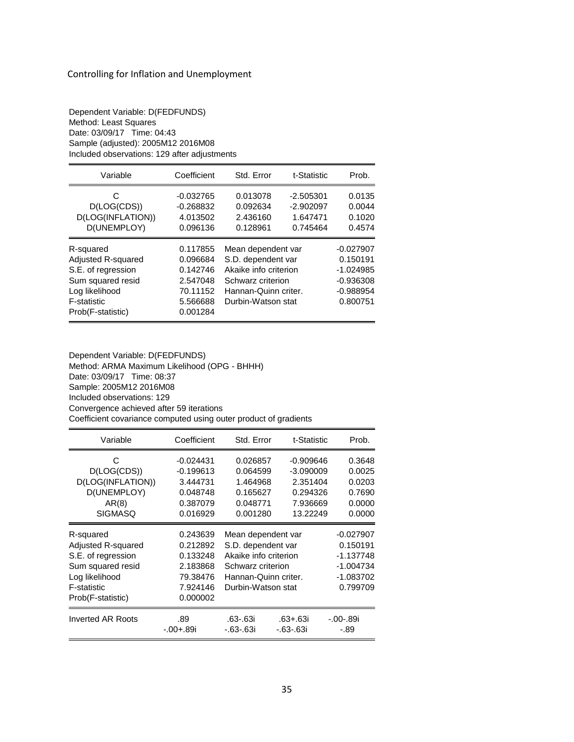| Dependent Variable: D(FEDFUNDS)              |  |  |  |  |
|----------------------------------------------|--|--|--|--|
| Method: Least Squares                        |  |  |  |  |
| Date: 03/09/17 Time: 04:43                   |  |  |  |  |
| Sample (adjusted): 2005M12 2016M08           |  |  |  |  |
| Included observations: 129 after adjustments |  |  |  |  |

| Variable                                                                                                                                | Coefficient                                                                      | Std. Error                                                                                                                           | t-Statistic                                        | Prob.                                                                            |
|-----------------------------------------------------------------------------------------------------------------------------------------|----------------------------------------------------------------------------------|--------------------------------------------------------------------------------------------------------------------------------------|----------------------------------------------------|----------------------------------------------------------------------------------|
| C<br>D(LOG(CDS))<br>D(LOG(INFLATION))<br>D(UNEMPLOY)                                                                                    | $-0.032765$<br>$-0.268832$<br>4.013502<br>0.096136                               | 0.013078<br>0.092634<br>2.436160<br>0.128961                                                                                         | $-2.505301$<br>$-2.902097$<br>1.647471<br>0.745464 | 0.0135<br>0.0044<br>0.1020<br>0.4574                                             |
| R-squared<br><b>Adjusted R-squared</b><br>S.E. of regression<br>Sum squared resid<br>Log likelihood<br>F-statistic<br>Prob(F-statistic) | 0.117855<br>0.096684<br>0.142746<br>2.547048<br>70.11152<br>5.566688<br>0.001284 | Mean dependent var<br>S.D. dependent var<br>Akaike info criterion<br>Schwarz criterion<br>Hannan-Quinn criter.<br>Durbin-Watson stat |                                                    | $-0.027907$<br>0.150191<br>$-1.024985$<br>$-0.936308$<br>$-0.988954$<br>0.800751 |

Dependent Variable: D(FEDFUNDS) Method: ARMA Maximum Likelihood (OPG - BHHH) Date: 03/09/17 Time: 08:37 Sample: 2005M12 2016M08 Included observations: 129 Convergence achieved after 59 iterations Coefficient covariance computed using outer product of gradients

| Variable                 | Coefficient | Std. Error            | t-Statistic     | Prob.       |
|--------------------------|-------------|-----------------------|-----------------|-------------|
| С                        | $-0.024431$ | 0.026857              | $-0.909646$     | 0.3648      |
| D(LOG(CDS))              | $-0.199613$ | 0.064599              | $-3.090009$     | 0.0025      |
| D(LOG(INFLATION))        | 3.444731    | 1.464968              | 2.351404        | 0.0203      |
| D(UNEMPLOY)              | 0.048748    | 0.165627              | 0.294326        | 0.7690      |
| AR(8)                    | 0.387079    | 0.048771              | 7.936669        | 0.0000      |
| <b>SIGMASQ</b>           | 0.016929    | 0.001280              | 13.22249        | 0.0000      |
| R-squared                | 0.243639    | Mean dependent var    |                 | $-0.027907$ |
| Adjusted R-squared       | 0.212892    | S.D. dependent var    |                 | 0.150191    |
| S.E. of regression       | 0.133248    | Akaike info criterion |                 | $-1.137748$ |
| Sum squared resid        | 2.183868    | Schwarz criterion     |                 | $-1.004734$ |
| Log likelihood           | 79.38476    | Hannan-Quinn criter.  |                 | $-1.083702$ |
| F-statistic              | 7.924146    | Durbin-Watson stat    |                 | 0.799709    |
| Prob(F-statistic)        | 0.000002    |                       |                 |             |
| <b>Inverted AR Roots</b> | .89         | .63-.63i              | .63+.63i        | $-.00-.89i$ |
|                          | $-.00+.89i$ | $-0.63 - 0.631$       | $-0.63 - 0.63i$ | -.89        |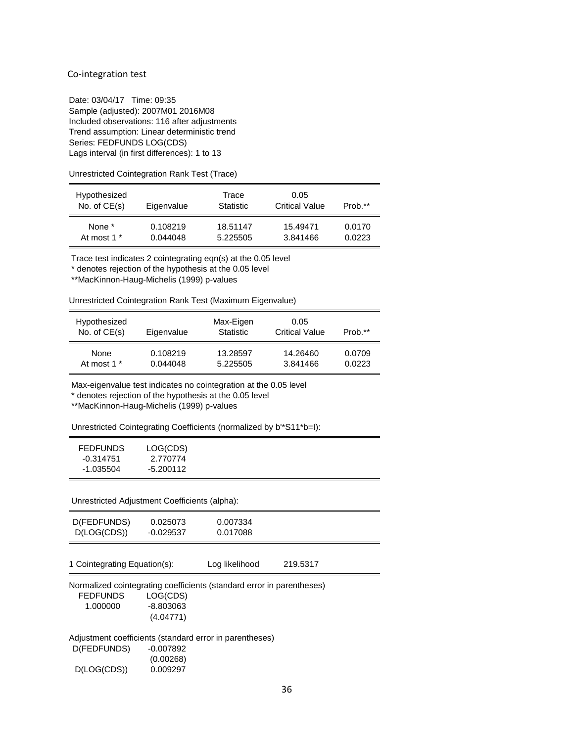#### Co-integration test

Date: 03/04/17 Time: 09:35 Sample (adjusted): 2007M01 2016M08 Included observations: 116 after adjustments Trend assumption: Linear deterministic trend Series: FEDFUNDS LOG(CDS) Lags interval (in first differences): 1 to 13

Unrestricted Cointegration Rank Test (Trace)

| Hypothesized<br>No. of $CE(s)$ | Eigenvalue | Trace<br><b>Statistic</b> | 0.05<br><b>Critical Value</b> | Prob.** |
|--------------------------------|------------|---------------------------|-------------------------------|---------|
| None *                         | 0.108219   | 18.51147                  | 15.49471                      | 0.0170  |
| At most 1 *                    | 0.044048   | 5.225505                  | 3.841466                      | 0.0223  |

Trace test indicates 2 cointegrating eqn(s) at the 0.05 level

\* denotes rejection of the hypothesis at the 0.05 level

\*\*MacKinnon-Haug-Michelis (1999) p-values

Unrestricted Cointegration Rank Test (Maximum Eigenvalue)

| Hypothesized<br>No. of $CE(s)$ | Eigenvalue | Max-Eigen<br>Statistic | 0.05<br><b>Critical Value</b> | Prob.** |
|--------------------------------|------------|------------------------|-------------------------------|---------|
| None                           | 0.108219   | 13.28597               | 14.26460                      | 0.0709  |
| At most 1 <sup>*</sup>         | 0.044048   | 5.225505               | 3.841466                      | 0.0223  |

Max-eigenvalue test indicates no cointegration at the 0.05 level

\* denotes rejection of the hypothesis at the 0.05 level

\*\*MacKinnon-Haug-Michelis (1999) p-values

Unrestricted Cointegrating Coefficients (normalized by b'\*S11\*b=I):

| <b>FEDFUNDS</b> | LOG(CDS)  |
|-----------------|-----------|
| -0.314751       | 2.770774  |
| -1.035504       | -5.200112 |

Unrestricted Adjustment Coefficients (alpha):

| D(FEDFUNDS)<br>D(LOG(CDS))                              | 0.025073<br>$-0.029537$ | 0.007334<br>0.017088                                                  |          |  |
|---------------------------------------------------------|-------------------------|-----------------------------------------------------------------------|----------|--|
| 1 Cointegrating Equation(s):                            |                         | Log likelihood                                                        | 219.5317 |  |
|                                                         |                         |                                                                       |          |  |
|                                                         |                         | Normalized cointegrating coefficients (standard error in parentheses) |          |  |
| <b>FEDFUNDS</b>                                         | LOG(CDS)                |                                                                       |          |  |
| 1.000000                                                | $-8.803063$             |                                                                       |          |  |
|                                                         | (4.04771)               |                                                                       |          |  |
| Adjustment coefficients (standard error in parentheses) |                         |                                                                       |          |  |
| D(FEDFUNDS)                                             | $-0.007892$             |                                                                       |          |  |
|                                                         | (0.00268)               |                                                                       |          |  |
| D(LOG(CDS))                                             | 0.009297                |                                                                       |          |  |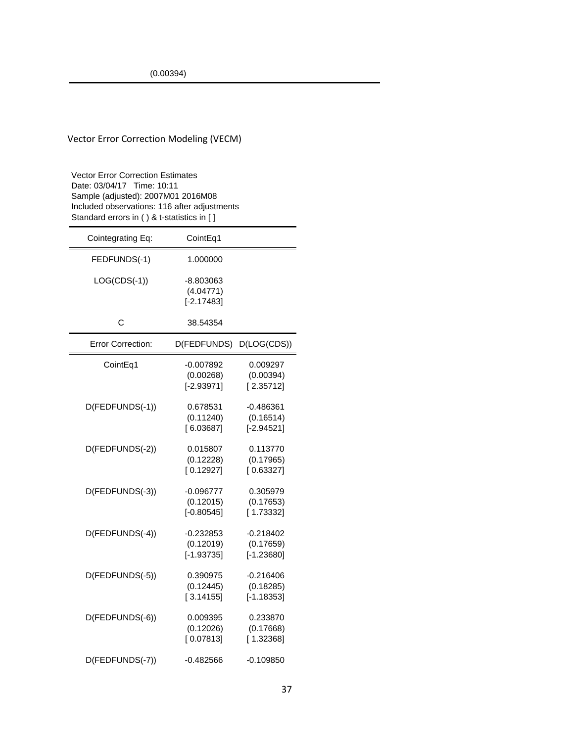### Vector Error Correction Modeling (VECM)

Vector Error Correction Estimates Date: 03/04/17 Time: 10:11 Sample (adjusted): 2007M01 2016M08 Included observations: 116 after adjustments Standard errors in ( ) & t-statistics in [ ]

| Cointegrating Eq:        | CointEq1                                 |                                          |
|--------------------------|------------------------------------------|------------------------------------------|
| FEDFUNDS(-1)             | 1.000000                                 |                                          |
| $LOG(CDS(-1))$           | $-8.803063$<br>(4.04771)<br>$[-2.17483]$ |                                          |
| C                        | 38.54354                                 |                                          |
| <b>Error Correction:</b> | D(FEDFUNDS)                              | D(LOG(CDS))                              |
| CointEq1                 | -0.007892<br>(0.00268)<br>$[-2.93971]$   | 0.009297<br>(0.00394)<br>[2.35712]       |
| D(FEDFUNDS(-1))          | 0.678531<br>(0.11240)<br>[6.03687]       | -0.486361<br>(0.16514)<br>$[-2.94521]$   |
| D(FEDFUNDS(-2))          | 0.015807<br>(0.12228)<br>[0.12927]       | 0.113770<br>(0.17965)<br>[0.63327]       |
| D(FEDFUNDS(-3))          | $-0.096777$<br>(0.12015)<br>$[-0.80545]$ | 0.305979<br>(0.17653)<br>[1.73332]       |
| D(FEDFUNDS(-4))          | $-0.232853$<br>(0.12019)<br>$[-1.93735]$ | $-0.218402$<br>(0.17659)<br>$[-1.23680]$ |
| D(FEDFUNDS(-5))          | 0.390975<br>(0.12445)<br>[3.14155]       | $-0.216406$<br>(0.18285)<br>$[-1.18353]$ |
| D(FEDFUNDS(-6))          | 0.009395<br>(0.12026)<br>[0.07813]       | 0.233870<br>(0.17668)<br>[1.32368]       |
| D(FEDFUNDS(-7))          | $-0.482566$                              | $-0.109850$                              |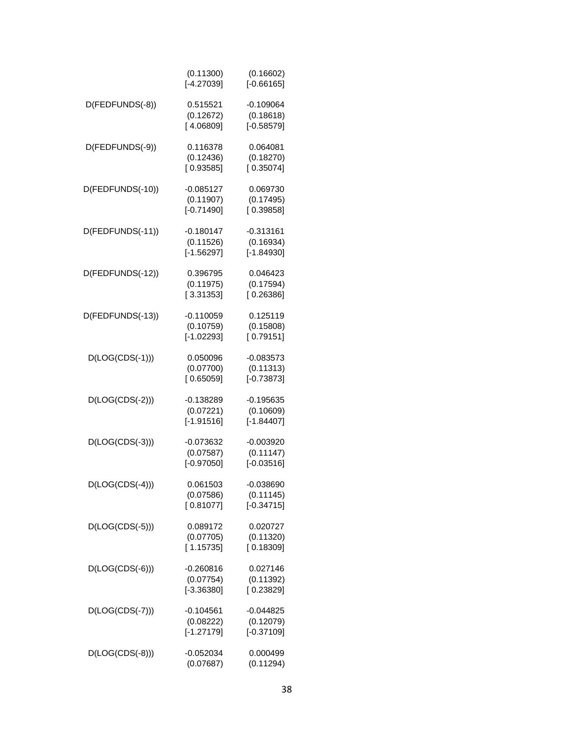|                   | (0.11300)<br>$[-4.27039]$                | (0.16602)<br>$[-0.66165]$                |
|-------------------|------------------------------------------|------------------------------------------|
| D(FEDFUNDS(-8))   | 0.515521<br>(0.12672)<br>[4.06809]       | $-0.109064$<br>(0.18618)<br>$[-0.58579]$ |
| D(FEDFUNDS(-9))   | 0.116378<br>(0.12436)<br>[0.93585]       | 0.064081<br>(0.18270)<br>[0.35074]       |
| D(FEDFUNDS(-10))  | $-0.085127$<br>(0.11907)<br>$[-0.71490]$ | 0.069730<br>(0.17495)<br>[0.39858]       |
| D(FEDFUNDS(-11))  | $-0.180147$<br>(0.11526)<br>$[-1.56297]$ | $-0.313161$<br>(0.16934)<br>$[-1.84930]$ |
| D(FEDFUNDS(-12))  | 0.396795<br>(0.11975)<br>[3.31353]       | 0.046423<br>(0.17594)<br>[0.26386]       |
| D(FEDFUNDS(-13))  | $-0.110059$<br>(0.10759)<br>$[-1.02293]$ | 0.125119<br>(0.15808)<br>[0.79151]       |
| $D(LOG(CDS(-1)))$ | 0.050096<br>(0.07700)<br>[0.65059]       | $-0.083573$<br>(0.11313)<br>$[-0.73873]$ |
| D(LOG(CDS(-2)))   | $-0.138289$<br>(0.07221)<br>$[-1.91516]$ | $-0.195635$<br>(0.10609)<br>$[-1.84407]$ |
| D(LOG(CDS(-3)))   | $-0.073632$<br>(0.07587)<br>$[-0.97050]$ | $-0.003920$<br>(0.11147)<br>$[-0.03516]$ |
| $D(LOG(CDS(-4)))$ | 0.061503<br>(0.07586)<br>[0.81077]       | -0.038690<br>(0.11145)<br>$[-0.34715]$   |
| $D(LOG(CDS(-5)))$ | 0.089172<br>(0.07705)<br>[1.15735]       | 0.020727<br>(0.11320)<br>[0.18309]       |
| $D(LOG(CDS(-6)))$ | $-0.260816$<br>(0.07754)<br>$[-3.36380]$ | 0.027146<br>(0.11392)<br>[0.23829]       |
| $D(LOG(CDS(-7)))$ | $-0.104561$<br>(0.08222)<br>$[-1.27179]$ | $-0.044825$<br>(0.12079)<br>$[-0.37109]$ |
| $D(LOG(CDS(-8)))$ | $-0.052034$<br>(0.07687)                 | 0.000499<br>(0.11294)                    |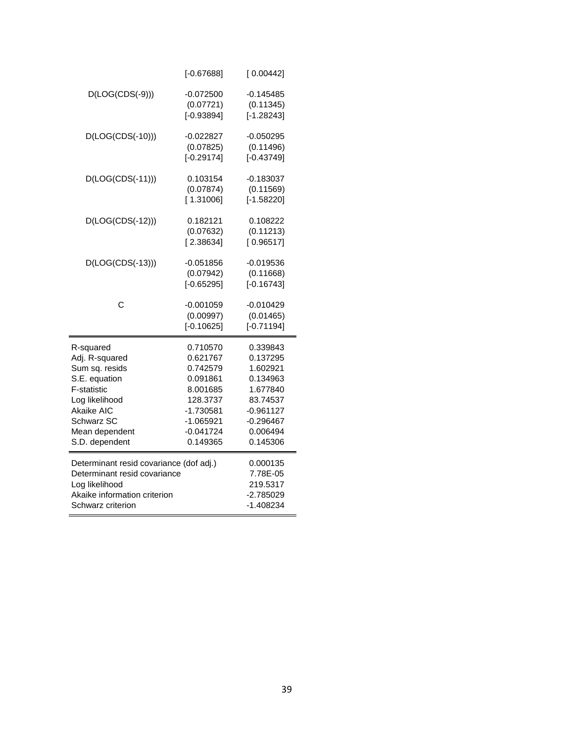|                                         | $[-0.67688]$         | [0.00442]            |
|-----------------------------------------|----------------------|----------------------|
| $D(LOG(CDS(-9)))$                       | $-0.072500$          | $-0.145485$          |
|                                         | (0.07721)            | (0.11345)            |
|                                         | $[-0.93894]$         | $[-1.28243]$         |
| D(LOG(CDS(-10)))                        | $-0.022827$          | $-0.050295$          |
|                                         | (0.07825)            | (0.11496)            |
|                                         | $[-0.29174]$         | $[-0.43749]$         |
| $D(LOG(CDS(-11)))$                      | 0.103154             | $-0.183037$          |
|                                         | (0.07874)            | (0.11569)            |
|                                         | [1.31006]            | $[-1.58220]$         |
| $D(LOG(CDS(-12)))$                      | 0.182121             | 0.108222             |
|                                         | (0.07632)            | (0.11213)            |
|                                         | [2.38634]            | [0.96517]            |
| $D(LOG(CDS(-13)))$                      | $-0.051856$          | $-0.019536$          |
|                                         | (0.07942)            | (0.11668)            |
|                                         | $[-0.65295]$         | $[-0.16743]$         |
| Ċ                                       | $-0.001059$          | -0.010429            |
|                                         | (0.00997)            | (0.01465)            |
|                                         | $[-0.10625]$         | $[-0.71194]$         |
| R-squared                               | 0.710570             | 0.339843             |
| Adj. R-squared                          | 0.621767             | 0.137295             |
| Sum sq. resids                          | 0.742579             | 1.602921             |
| S.E. equation                           | 0.091861             | 0.134963             |
| F-statistic<br>Log likelihood           | 8.001685<br>128.3737 | 1.677840<br>83.74537 |
| Akaike AIC                              | $-1.730581$          | $-0.961127$          |
| Schwarz SC                              | $-1.065921$          | $-0.296467$          |
| Mean dependent                          | $-0.041724$          | 0.006494             |
| S.D. dependent                          | 0.149365             | 0.145306             |
|                                         |                      |                      |
| Determinant resid covariance (dof adj.) |                      | 0.000135             |
| Determinant resid covariance            |                      | 7.78E-05             |
| Log likelihood                          |                      | 219.5317             |
| Akaike information criterion            |                      | $-2.785029$          |
| Schwarz criterion                       |                      | $-1.408234$          |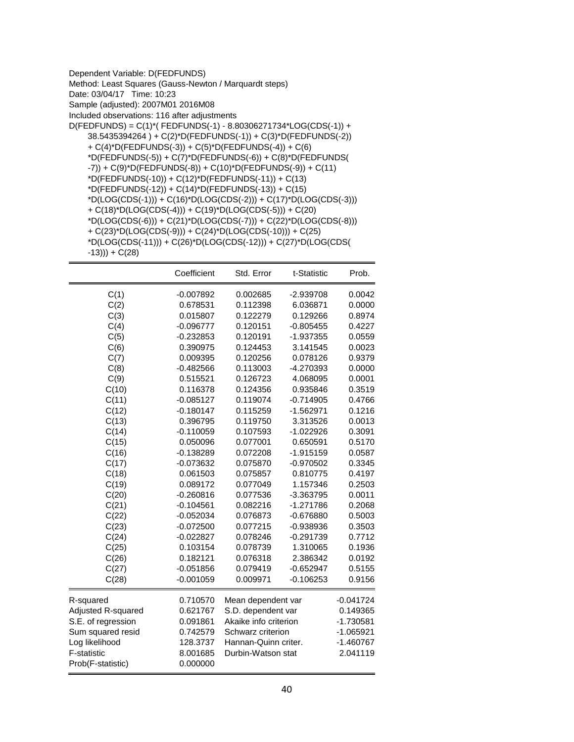| Dependent Variable: D(FEDFUNDS)                                                      |
|--------------------------------------------------------------------------------------|
| Method: Least Squares (Gauss-Newton / Marquardt steps)                               |
| Date: 03/04/17 Time: 10:23                                                           |
| Sample (adjusted): 2007M01 2016M08                                                   |
| Included observations: 116 after adjustments                                         |
| D(FEDFUNDS) = C(1)*(FEDFUNDS(-1) - 8.80306271734*LOG(CDS(-1)) +                      |
| 38.5435394264) + C(2)*D(FEDFUNDS(-1)) + C(3)*D(FEDFUNDS(-2))                         |
| + $C(4)$ *D(FEDFUNDS(-3)) + $C(5)$ *D(FEDFUNDS(-4)) + $C(6)$                         |
| *D(FEDFUNDS(-5)) + C(7)*D(FEDFUNDS(-6)) + C(8)*D(FEDFUNDS(                           |
| -7)) + C(9)*D(FEDFUNDS(-8)) + C(10)*D(FEDFUNDS(-9)) + C(11)                          |
| *D(FEDFUNDS(-10)) + C(12)*D(FEDFUNDS(-11)) + C(13)                                   |
| $D(FEDFUNDS(-12)) + C(14)^*D(FEDFUNDS(-13)) + C(15)$                                 |
| $^{\ast}D(LOG(CDS(-1))) + C(16)^{\ast}D(LOG(CDS(-2))) + C(17)^{\ast}D(LOG(CDS(-3)))$ |
| + $C(18)^*D(LOG(CDS(-4)))$ + $C(19)^*D(LOG(CDS(-5)))$ + $C(20)$                      |
| $*D(LOG(CDS(-6))) + C(21)*D(LOG(CDS(-7))) + C(22)*D(LOG(CDS(-8)))$                   |
| + $C(23)^*D(LOG(CDS(-9)))$ + $C(24)^*D(LOG(CDS(-10)))$ + $C(25)$                     |
| $*D(LOG(CDS(-11))) + C(26)*D(LOG(CDS(-12))) + C(27)*D(LOG(CDS(11))$                  |
| $-13)) + C(28)$                                                                      |
|                                                                                      |

|                    | Coefficient | Std. Error            | t-Statistic | Prob.       |
|--------------------|-------------|-----------------------|-------------|-------------|
| C(1)               | $-0.007892$ | 0.002685              | $-2.939708$ | 0.0042      |
| C(2)               | 0.678531    | 0.112398              | 6.036871    | 0.0000      |
| C(3)               | 0.015807    | 0.122279              | 0.129266    | 0.8974      |
| C(4)               | $-0.096777$ | 0.120151              | $-0.805455$ | 0.4227      |
| C(5)               | $-0.232853$ | 0.120191              | -1.937355   | 0.0559      |
| C(6)               | 0.390975    | 0.124453              | 3.141545    | 0.0023      |
| C(7)               | 0.009395    | 0.120256              | 0.078126    | 0.9379      |
| C(8)               | $-0.482566$ | 0.113003              | -4.270393   | 0.0000      |
| C(9)               | 0.515521    | 0.126723              | 4.068095    | 0.0001      |
| C(10)              | 0.116378    | 0.124356              | 0.935846    | 0.3519      |
| C(11)              | $-0.085127$ | 0.119074              | $-0.714905$ | 0.4766      |
| C(12)              | $-0.180147$ | 0.115259              | $-1.562971$ | 0.1216      |
| C(13)              | 0.396795    | 0.119750              | 3.313526    | 0.0013      |
| C(14)              | $-0.110059$ | 0.107593              | $-1.022926$ | 0.3091      |
| C(15)              | 0.050096    | 0.077001              | 0.650591    | 0.5170      |
| C(16)              | $-0.138289$ | 0.072208              | $-1.915159$ | 0.0587      |
| C(17)              | $-0.073632$ | 0.075870              | $-0.970502$ | 0.3345      |
| C(18)              | 0.061503    | 0.075857              | 0.810775    | 0.4197      |
| C(19)              | 0.089172    | 0.077049              | 1.157346    | 0.2503      |
| C(20)              | $-0.260816$ | 0.077536              | $-3.363795$ | 0.0011      |
| C(21)              | $-0.104561$ | 0.082216              | $-1.271786$ | 0.2068      |
| C(22)              | $-0.052034$ | 0.076873              | $-0.676880$ | 0.5003      |
| C(23)              | $-0.072500$ | 0.077215              | -0.938936   | 0.3503      |
| C(24)              | $-0.022827$ | 0.078246              | $-0.291739$ | 0.7712      |
| C(25)              | 0.103154    | 0.078739              | 1.310065    | 0.1936      |
| C(26)              | 0.182121    | 0.076318              | 2.386342    | 0.0192      |
| C(27)              | $-0.051856$ | 0.079419              | $-0.652947$ | 0.5155      |
| C(28)              | $-0.001059$ | 0.009971              | $-0.106253$ | 0.9156      |
| R-squared          | 0.710570    | Mean dependent var    |             | $-0.041724$ |
| Adjusted R-squared | 0.621767    | S.D. dependent var    |             | 0.149365    |
| S.E. of regression | 0.091861    | Akaike info criterion |             | $-1.730581$ |
| Sum squared resid  | 0.742579    | Schwarz criterion     |             | $-1.065921$ |
| Log likelihood     | 128.3737    | Hannan-Quinn criter.  |             | $-1.460767$ |
| F-statistic        | 8.001685    | Durbin-Watson stat    |             | 2.041119    |
| Prob(F-statistic)  | 0.000000    |                       |             |             |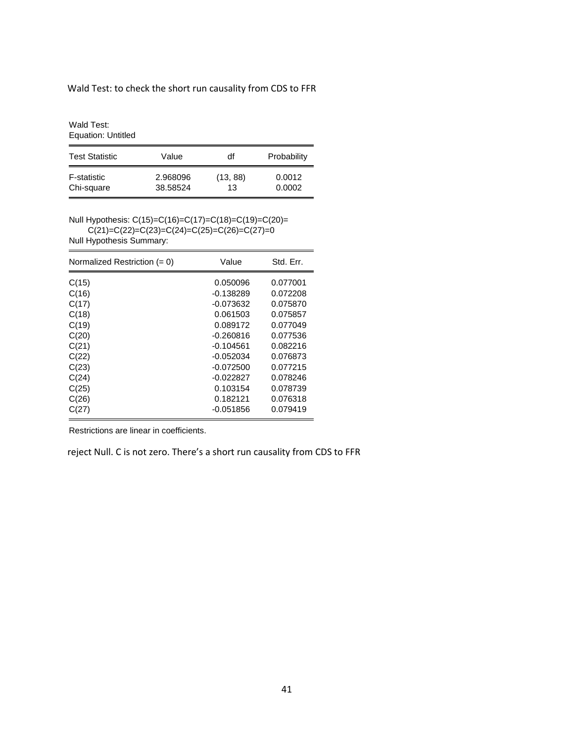## Wald Test: to check the short run causality from CDS to FFR

Wald Test: Equation: Untitled

| <b>Test Statistic</b> | Value    | df       | Probability |
|-----------------------|----------|----------|-------------|
| F-statistic           | 2.968096 | (13, 88) | 0.0012      |
| Chi-square            | 38.58524 | 13       | 0.0002      |

Null Hypothesis: C(15)=C(16)=C(17)=C(18)=C(19)=C(20)=  $C(21)=C(22)=C(23)=C(24)=C(25)=C(26)=C(27)=0$ 

Null Hypothesis Summary:

| Normalized Restriction $(= 0)$ | Value       | Std. Err. |
|--------------------------------|-------------|-----------|
| C(15)                          | 0.050096    | 0.077001  |
| C(16)                          | $-0.138289$ | 0.072208  |
| C(17)                          | $-0.073632$ | 0.075870  |
| C(18)                          | 0.061503    | 0.075857  |
| C(19)                          | 0.089172    | 0.077049  |
| C(20)                          | $-0.260816$ | 0.077536  |
| C(21)                          | $-0.104561$ | 0.082216  |
| C(22)                          | $-0.052034$ | 0.076873  |
| C(23)                          | $-0.072500$ | 0.077215  |
| C(24)                          | -0.022827   | 0.078246  |
| C(25)                          | 0.103154    | 0.078739  |
| C(26)                          | 0.182121    | 0.076318  |
| C(27)                          | $-0.051856$ | 0.079419  |

Restrictions are linear in coefficients.

reject Null. C is not zero. There's a short run causality from CDS to FFR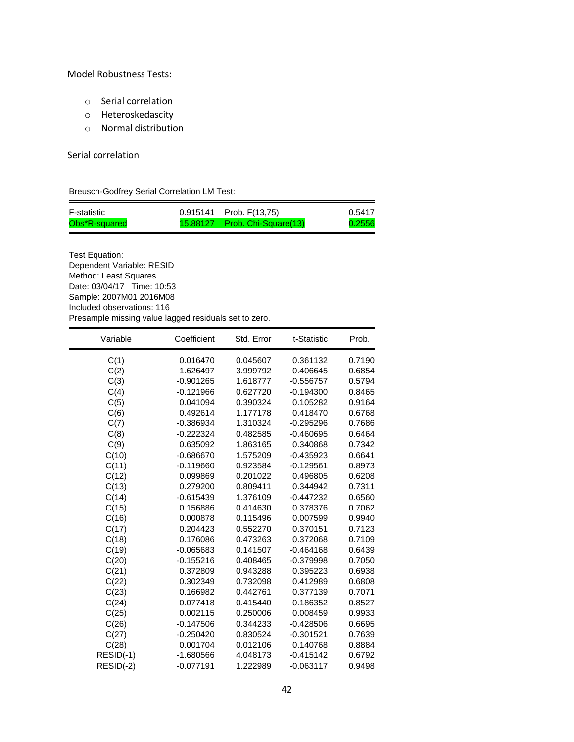#### Model Robustness Tests:

- o Serial correlation
- o Heteroskedascity
- o Normal distribution

#### Serial correlation

 $\equiv$ 

Breusch-Godfrey Serial Correlation LM Test:

| F-statistic   | $0.915141$ Prob. $F(13.75)$   | 0.5417 |
|---------------|-------------------------------|--------|
| Obs*R-squared | 15.88127 Prob. Chi-Square(13) | 0.2556 |

Test Equation: Dependent Variable: RESID Method: Least Squares Date: 03/04/17 Time: 10:53 Sample: 2007M01 2016M08 Included observations: 116 Presample missing value lagged residuals set to zero.

| Variable  | Coefficient | Std. Error | t-Statistic | Prob.  |
|-----------|-------------|------------|-------------|--------|
| C(1)      | 0.016470    | 0.045607   | 0.361132    | 0.7190 |
| C(2)      | 1.626497    | 3.999792   | 0.406645    | 0.6854 |
| C(3)      | $-0.901265$ | 1.618777   | $-0.556757$ | 0.5794 |
| C(4)      | $-0.121966$ | 0.627720   | $-0.194300$ | 0.8465 |
| C(5)      | 0.041094    | 0.390324   | 0.105282    | 0.9164 |
| C(6)      | 0.492614    | 1.177178   | 0.418470    | 0.6768 |
| C(7)      | $-0.386934$ | 1.310324   | $-0.295296$ | 0.7686 |
| C(8)      | $-0.222324$ | 0.482585   | $-0.460695$ | 0.6464 |
| C(9)      | 0.635092    | 1.863165   | 0.340868    | 0.7342 |
| C(10)     | $-0.686670$ | 1.575209   | $-0.435923$ | 0.6641 |
| C(11)     | $-0.119660$ | 0.923584   | $-0.129561$ | 0.8973 |
| C(12)     | 0.099869    | 0.201022   | 0.496805    | 0.6208 |
| C(13)     | 0.279200    | 0.809411   | 0.344942    | 0.7311 |
| C(14)     | $-0.615439$ | 1.376109   | $-0.447232$ | 0.6560 |
| C(15)     | 0.156886    | 0.414630   | 0.378376    | 0.7062 |
| C(16)     | 0.000878    | 0.115496   | 0.007599    | 0.9940 |
| C(17)     | 0.204423    | 0.552270   | 0.370151    | 0.7123 |
| C(18)     | 0.176086    | 0.473263   | 0.372068    | 0.7109 |
| C(19)     | $-0.065683$ | 0.141507   | $-0.464168$ | 0.6439 |
| C(20)     | $-0.155216$ | 0.408465   | $-0.379998$ | 0.7050 |
| C(21)     | 0.372809    | 0.943288   | 0.395223    | 0.6938 |
| C(22)     | 0.302349    | 0.732098   | 0.412989    | 0.6808 |
| C(23)     | 0.166982    | 0.442761   | 0.377139    | 0.7071 |
| C(24)     | 0.077418    | 0.415440   | 0.186352    | 0.8527 |
| C(25)     | 0.002115    | 0.250006   | 0.008459    | 0.9933 |
| C(26)     | $-0.147506$ | 0.344233   | $-0.428506$ | 0.6695 |
| C(27)     | $-0.250420$ | 0.830524   | $-0.301521$ | 0.7639 |
| C(28)     | 0.001704    | 0.012106   | 0.140768    | 0.8884 |
| RESID(-1) | $-1.680566$ | 4.048173   | $-0.415142$ | 0.6792 |
| RESID(-2) | $-0.077191$ | 1.222989   | $-0.063117$ | 0.9498 |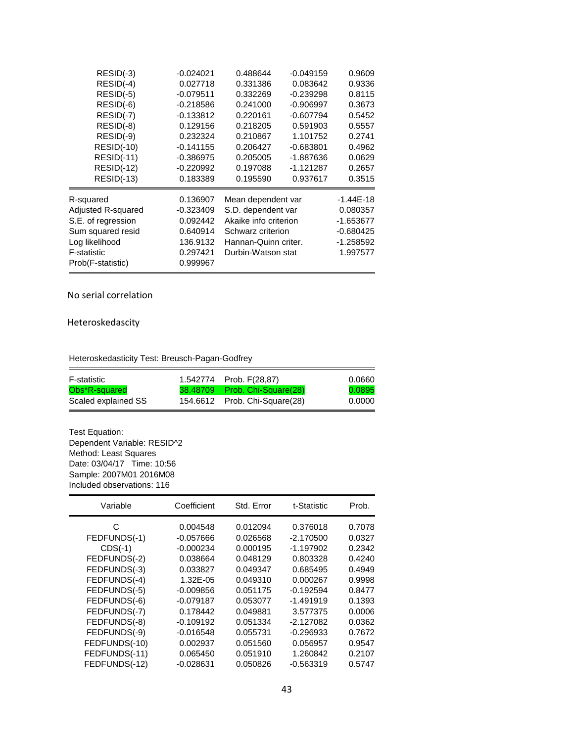| RESID(-3)          | $-0.024021$ | 0.488644              | $-0.049159$ | 0.9609      |
|--------------------|-------------|-----------------------|-------------|-------------|
| RESID(-4)          | 0.027718    | 0.331386              | 0.083642    | 0.9336      |
| RESID(-5)          | $-0.079511$ | 0.332269              | $-0.239298$ | 0.8115      |
| RESID(-6)          | $-0.218586$ | 0.241000              | $-0.906997$ | 0.3673      |
| RESID(-7)          | $-0.133812$ | 0.220161              | $-0.607794$ | 0.5452      |
| $RESID(-8)$        | 0.129156    | 0.218205              | 0.591903    | 0.5557      |
| RESID(-9)          | 0.232324    | 0.210867              | 1.101752    | 0.2741      |
| <b>RESID(-10)</b>  | $-0.141155$ | 0.206427              | $-0.683801$ | 0.4962      |
| <b>RESID(-11)</b>  | $-0.386975$ | 0.205005              | -1.887636   | 0.0629      |
| <b>RESID(-12)</b>  | $-0.220992$ | 0.197088              | $-1.121287$ | 0.2657      |
| $RESID(-13)$       | 0.183389    | 0.195590              | 0.937617    | 0.3515      |
| R-squared          | 0.136907    | Mean dependent var    |             | $-1.44E-18$ |
| Adjusted R-squared | $-0.323409$ | S.D. dependent var    |             | 0.080357    |
| S.E. of regression | 0.092442    | Akaike info criterion |             | $-1.653677$ |
| Sum squared resid  | 0.640914    | Schwarz criterion     |             | $-0.680425$ |
| Log likelihood     | 136.9132    | Hannan-Quinn criter.  |             | $-1.258592$ |
| F-statistic        | 0.297421    | Durbin-Watson stat    |             | 1.997577    |
| Prob(F-statistic)  | 0.999967    |                       |             |             |

No serial correlation

Heteroskedascity

Heteroskedasticity Test: Breusch-Pagan-Godfrey

| F-statistic         | 1.542774 Prob. F(28,87)       | 0.0660 |
|---------------------|-------------------------------|--------|
| Obs*R-squared       | 38.48709 Prob. Chi-Square(28) | 0.0895 |
| Scaled explained SS | 154.6612 Prob. Chi-Square(28) | 0.0000 |

Test Equation: Dependent Variable: RESID^2 Method: Least Squares Date: 03/04/17 Time: 10:56 Sample: 2007M01 2016M08 Included observations: 116

| Variable      | Coefficient | Std. Error | t-Statistic | Prob.  |
|---------------|-------------|------------|-------------|--------|
| С             | 0.004548    | 0.012094   | 0.376018    | 0.7078 |
| FEDFUNDS(-1)  | $-0.057666$ | 0.026568   | $-2.170500$ | 0.0327 |
| $CDS(-1)$     | $-0.000234$ | 0.000195   | $-1.197902$ | 0.2342 |
| FEDFUNDS(-2)  | 0.038664    | 0.048129   | 0.803328    | 0.4240 |
| FEDFUNDS(-3)  | 0.033827    | 0.049347   | 0.685495    | 0.4949 |
| FEDFUNDS(-4)  | 1.32E-05    | 0.049310   | 0.000267    | 0.9998 |
| FEDFUNDS(-5)  | $-0.009856$ | 0.051175   | $-0.192594$ | 0.8477 |
| FEDFUNDS(-6)  | $-0.079187$ | 0.053077   | $-1.491919$ | 0.1393 |
| FEDFUNDS(-7)  | 0.178442    | 0.049881   | 3.577375    | 0.0006 |
| FEDFUNDS(-8)  | $-0.109192$ | 0.051334   | $-2.127082$ | 0.0362 |
| FEDFUNDS(-9)  | $-0.016548$ | 0.055731   | $-0.296933$ | 0.7672 |
| FEDFUNDS(-10) | 0.002937    | 0.051560   | 0.056957    | 0.9547 |
| FEDFUNDS(-11) | 0.065450    | 0.051910   | 1.260842    | 0.2107 |
| FEDFUNDS(-12) | $-0.028631$ | 0.050826   | $-0.563319$ | 0.5747 |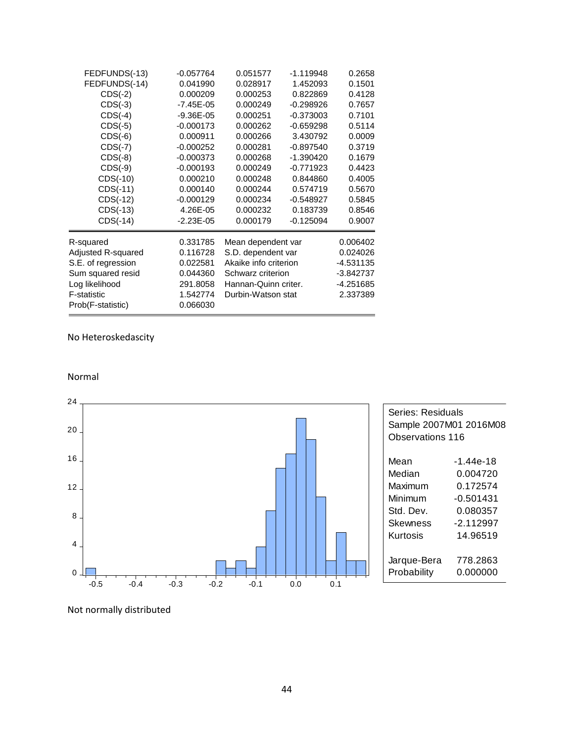| FEDFUNDS(-13)      | $-0.057764$   | 0.051577              | $-1.119948$ | 0.2658      |
|--------------------|---------------|-----------------------|-------------|-------------|
| FEDFUNDS(-14)      | 0.041990      | 0.028917              | 1.452093    | 0.1501      |
| $CDS(-2)$          | 0.000209      | 0.000253              | 0.822869    | 0.4128      |
| $CDS(-3)$          | $-7.45E - 05$ | 0.000249              | $-0.298926$ | 0.7657      |
| $CDS(-4)$          | $-9.36E - 05$ | 0.000251              | $-0.373003$ | 0.7101      |
| $CDS(-5)$          | $-0.000173$   | 0.000262              | $-0.659298$ | 0.5114      |
| $CDS(-6)$          | 0.000911      | 0.000266              | 3.430792    | 0.0009      |
| $CDS(-7)$          | $-0.000252$   | 0.000281              | $-0.897540$ | 0.3719      |
| $CDS(-8)$          | $-0.000373$   | 0.000268              | -1.390420   | 0.1679      |
| $CDS(-9)$          | $-0.000193$   | 0.000249              | $-0.771923$ | 0.4423      |
| CDS(-10)           | 0.000210      | 0.000248              | 0.844860    | 0.4005      |
| CDS(-11)           | 0.000140      | 0.000244              | 0.574719    | 0.5670      |
| CDS(-12)           | $-0.000129$   | 0.000234              | $-0.548927$ | 0.5845      |
| CDS(-13)           | 4.26E-05      | 0.000232              | 0.183739    | 0.8546      |
| $CDS(-14)$         | $-2.23E - 05$ | 0.000179              | $-0.125094$ | 0.9007      |
| R-squared          | 0.331785      | Mean dependent var    |             | 0.006402    |
| Adjusted R-squared | 0.116728      | S.D. dependent var    |             | 0.024026    |
| S.E. of regression | 0.022581      | Akaike info criterion |             | $-4.531135$ |
| Sum squared resid  | 0.044360      | Schwarz criterion     |             | $-3.842737$ |
| Log likelihood     | 291.8058      | Hannan-Quinn criter.  |             | -4.251685   |
| F-statistic        | 1.542774      | Durbin-Watson stat    |             | 2.337389    |
| Prob(F-statistic)  | 0.066030      |                       |             |             |

# No Heteroskedascity





| Series: Residuals<br>Sample 2007M01 2016M08<br>Observations 116 |           |  |  |  |
|-----------------------------------------------------------------|-----------|--|--|--|
| Mean                                                            | -1.44e-18 |  |  |  |
| Median                                                          | 0.004720  |  |  |  |
| Maximum                                                         | በ 172574  |  |  |  |
| Minimum                                                         | -0.501431 |  |  |  |
| Std. Dev.                                                       | 0.080357  |  |  |  |
| Skewness                                                        | -2.112997 |  |  |  |
| Kurtosis                                                        | 14.96519  |  |  |  |
| Jarque-Bera                                                     | 778.2863  |  |  |  |
| Probability                                                     | 0.000000  |  |  |  |

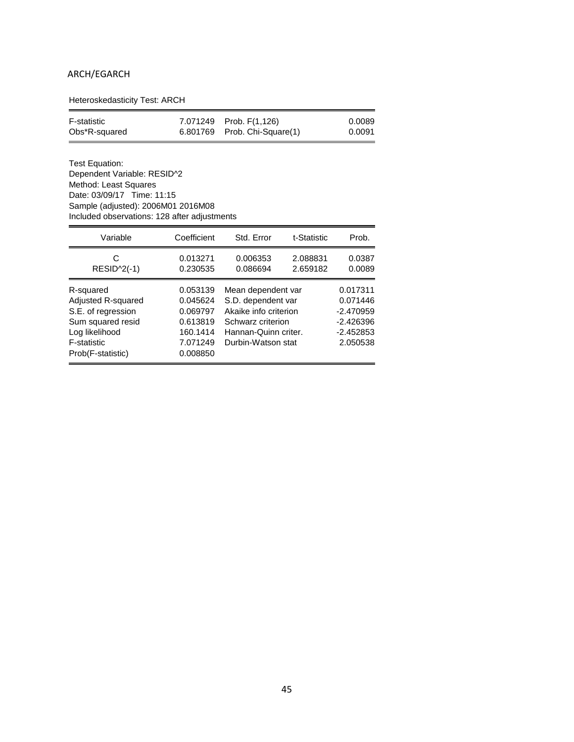## ARCH/EGARCH

Heteroskedasticity Test: ARCH

| F-statistic   | 7.071249 Prob. F(1,126)      | 0.0089 |
|---------------|------------------------------|--------|
| Obs*R-squared | 6.801769 Prob. Chi-Square(1) | 0.0091 |

Test Equation: Dependent Variable: RESID^2 Method: Least Squares Date: 03/09/17 Time: 11:15 Sample (adjusted): 2006M01 2016M08 Included observations: 128 after adjustments

| Variable                                                                                                                         | Coefficient                                                                      | Std. Error                                                                                                                           | t-Statistic          | Prob.                                                                         |
|----------------------------------------------------------------------------------------------------------------------------------|----------------------------------------------------------------------------------|--------------------------------------------------------------------------------------------------------------------------------------|----------------------|-------------------------------------------------------------------------------|
| C<br>$RESID^2(-1)$                                                                                                               | 0.013271<br>0.230535                                                             | 0.006353<br>0.086694                                                                                                                 | 2.088831<br>2.659182 | 0.0387<br>0.0089                                                              |
| R-squared<br>Adjusted R-squared<br>S.E. of regression<br>Sum squared resid<br>Log likelihood<br>F-statistic<br>Prob(F-statistic) | 0.053139<br>0.045624<br>0.069797<br>0.613819<br>160.1414<br>7.071249<br>0.008850 | Mean dependent var<br>S.D. dependent var<br>Akaike info criterion<br>Schwarz criterion<br>Hannan-Quinn criter.<br>Durbin-Watson stat |                      | 0.017311<br>0.071446<br>$-2.470959$<br>$-2.426396$<br>$-2.452853$<br>2.050538 |